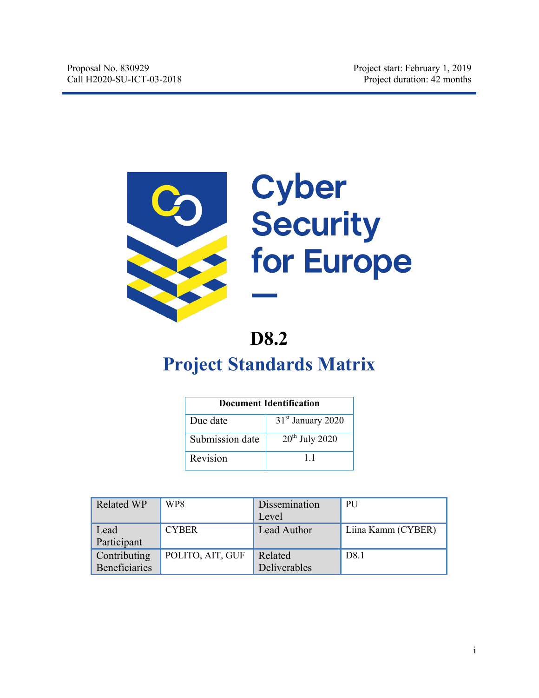

# Cyber<br>Security for Europe

# **D8.2**

# **Project Standards Matrix**

| <b>Document Identification</b> |                               |  |  |  |  |
|--------------------------------|-------------------------------|--|--|--|--|
| Due date                       | 31 <sup>st</sup> January 2020 |  |  |  |  |
| Submission date                | $20th$ July 2020              |  |  |  |  |
| Revision                       | 11                            |  |  |  |  |

| <b>Related WP</b>                    | WP8              | Dissemination<br>Level  | <b>PU</b>          |
|--------------------------------------|------------------|-------------------------|--------------------|
| Lead<br>Participant                  | <b>CYBER</b>     | Lead Author             | Liina Kamm (CYBER) |
| Contributing<br><b>Beneficiaries</b> | POLITO, AIT, GUF | Related<br>Deliverables | D <sub>8.1</sub>   |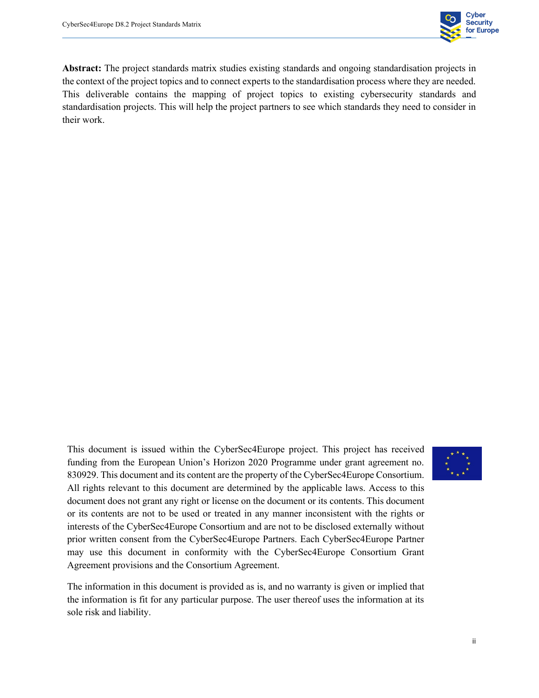

**Abstract:** The project standards matrix studies existing standards and ongoing standardisation projects in the context of the project topics and to connect experts to the standardisation process where they are needed. This deliverable contains the mapping of project topics to existing cybersecurity standards and standardisation projects. This will help the project partners to see which standards they need to consider in their work.

This document is issued within the CyberSec4Europe project. This project has received funding from the European Union's Horizon 2020 Programme under grant agreement no. 830929. This document and its content are the property of the CyberSec4Europe Consortium. All rights relevant to this document are determined by the applicable laws. Access to this document does not grant any right or license on the document or its contents. This document or its contents are not to be used or treated in any manner inconsistent with the rights or interests of the CyberSec4Europe Consortium and are not to be disclosed externally without prior written consent from the CyberSec4Europe Partners. Each CyberSec4Europe Partner may use this document in conformity with the CyberSec4Europe Consortium Grant Agreement provisions and the Consortium Agreement.



The information in this document is provided as is, and no warranty is given or implied that the information is fit for any particular purpose. The user thereof uses the information at its sole risk and liability.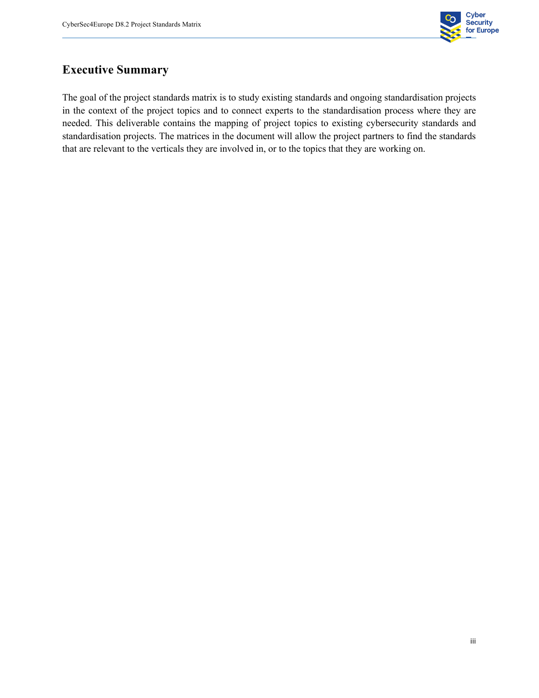

#### **Executive Summary**

The goal of the project standards matrix is to study existing standards and ongoing standardisation projects in the context of the project topics and to connect experts to the standardisation process where they are needed. This deliverable contains the mapping of project topics to existing cybersecurity standards and standardisation projects. The matrices in the document will allow the project partners to find the standards that are relevant to the verticals they are involved in, or to the topics that they are working on.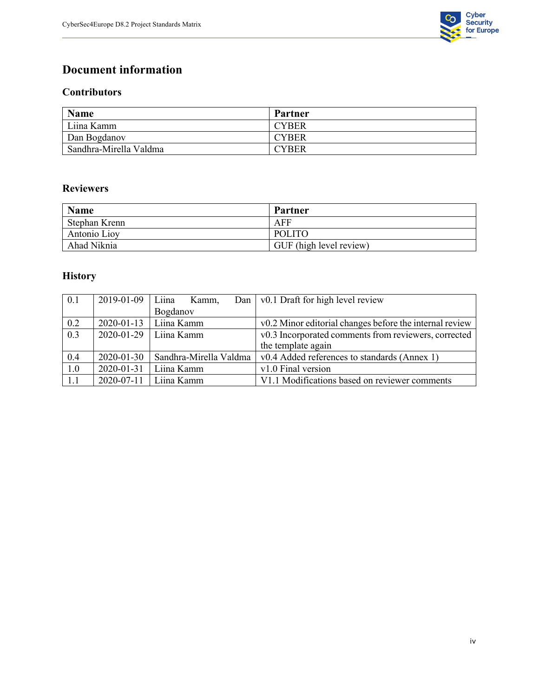

#### **Document information**

#### **Contributors**

| Name                   | Partner      |
|------------------------|--------------|
| Liina Kamm             | <b>CYBER</b> |
| Dan Bogdanov           | <b>CYBER</b> |
| Sandhra-Mirella Valdma | <b>CYBER</b> |

#### **Reviewers**

| <b>Name</b>   | Partner                 |
|---------------|-------------------------|
| Stephan Krenn | AFF                     |
| Antonio Lioy  | <b>POLITO</b>           |
| Ahad Niknia   | GUF (high level review) |

#### **History**

| 0.1 | 2019-01-09       | Liina<br>Kamm,         | Dan   $v0.1$ Draft for high level review                |  |  |  |
|-----|------------------|------------------------|---------------------------------------------------------|--|--|--|
|     |                  | Bogdanov               |                                                         |  |  |  |
| 0.2 | $2020 - 01 - 13$ | Liina Kamm             | v0.2 Minor editorial changes before the internal review |  |  |  |
| 0.3 | 2020-01-29       | Liina Kamm             | v0.3 Incorporated comments from reviewers, corrected    |  |  |  |
|     |                  |                        | the template again                                      |  |  |  |
| 0.4 | 2020-01-30       | Sandhra-Mirella Valdma | v0.4 Added references to standards (Annex 1)            |  |  |  |
| 1.0 | 2020-01-31       | Liina Kamm             | v1.0 Final version                                      |  |  |  |
| 1.1 | 2020-07-11       | Liina Kamm             | V1.1 Modifications based on reviewer comments           |  |  |  |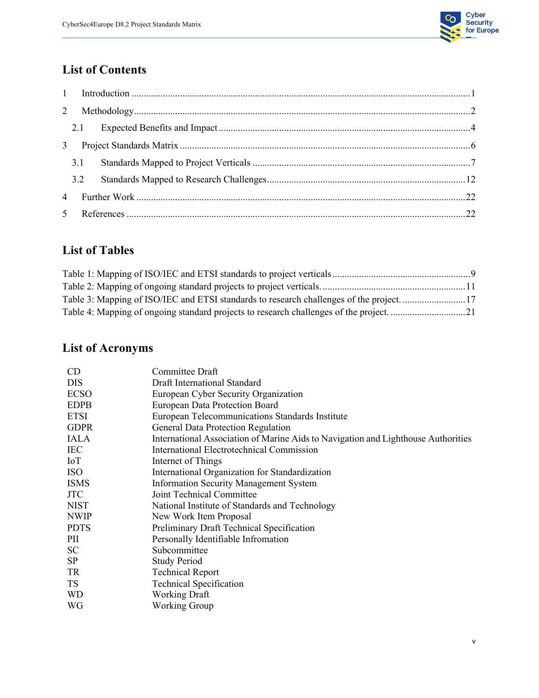

# **List of Contents**

| $\overline{2}$ |     |  |
|----------------|-----|--|
|                |     |  |
|                |     |  |
|                | 3.1 |  |
|                | 3.2 |  |
|                |     |  |
|                |     |  |

#### **List of Tables**

| Table 3: Mapping of ISO/IEC and ETSI standards to research challenges of the project. 17 |  |
|------------------------------------------------------------------------------------------|--|
|                                                                                          |  |

# **List of Acronyms**

| CD          | Committee Draft                                                                   |
|-------------|-----------------------------------------------------------------------------------|
| DIS         | Draft International Standard                                                      |
| <b>ECSO</b> | European Cyber Security Organization                                              |
| <b>EDPB</b> | European Data Protection Board                                                    |
| <b>ETSI</b> | European Telecommunications Standards Institute                                   |
| <b>GDPR</b> | General Data Protection Regulation                                                |
| <b>IALA</b> | International Association of Marine Aids to Navigation and Lighthouse Authorities |
| <b>IEC</b>  | International Electrotechnical Commission                                         |
| IoT         | Internet of Things                                                                |
| <b>ISO</b>  | International Organization for Standardization                                    |
| <b>ISMS</b> | <b>Information Security Management System</b>                                     |
| <b>JTC</b>  | Joint Technical Committee                                                         |
| <b>NIST</b> | National Institute of Standards and Technology                                    |
| <b>NWIP</b> | New Work Item Proposal                                                            |
| <b>PDTS</b> | Preliminary Draft Technical Specification                                         |
| PII         | Personally Identifiable Infromation                                               |
| SC          | Subcommittee                                                                      |
| SP          | <b>Study Period</b>                                                               |
| TR          | <b>Technical Report</b>                                                           |
| <b>TS</b>   | <b>Technical Specification</b>                                                    |
| <b>WD</b>   | <b>Working Draft</b>                                                              |
| WG          | <b>Working Group</b>                                                              |
|             |                                                                                   |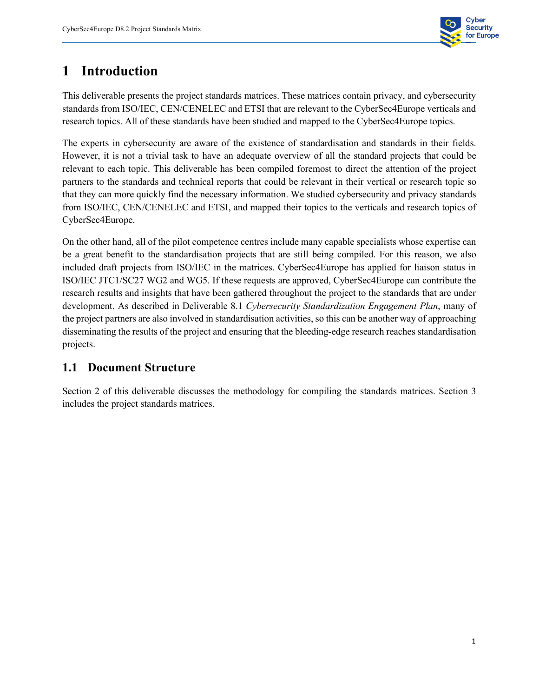

# **1 Introduction**

This deliverable presents the project standards matrices. These matrices contain privacy, and cybersecurity standards from ISO/IEC, CEN/CENELEC and ETSI that are relevant to the CyberSec4Europe verticals and research topics. All of these standards have been studied and mapped to the CyberSec4Europe topics.

The experts in cybersecurity are aware of the existence of standardisation and standards in their fields. However, it is not a trivial task to have an adequate overview of all the standard projects that could be relevant to each topic. This deliverable has been compiled foremost to direct the attention of the project partners to the standards and technical reports that could be relevant in their vertical or research topic so that they can more quickly find the necessary information. We studied cybersecurity and privacy standards from ISO/IEC, CEN/CENELEC and ETSI, and mapped their topics to the verticals and research topics of CyberSec4Europe.

On the other hand, all of the pilot competence centres include many capable specialists whose expertise can be a great benefit to the standardisation projects that are still being compiled. For this reason, we also included draft projects from ISO/IEC in the matrices. CyberSec4Europe has applied for liaison status in ISO/IEC JTC1/SC27 WG2 and WG5. If these requests are approved, CyberSec4Europe can contribute the research results and insights that have been gathered throughout the project to the standards that are under development. As described in Deliverable 8.1 *Cybersecurity Standardization Engagement Plan*, many of the project partners are also involved in standardisation activities, so this can be another way of approaching disseminating the results of the project and ensuring that the bleeding-edge research reaches standardisation projects.

#### **1.1 Document Structure**

Section 2 of this deliverable discusses the methodology for compiling the standards matrices. Section 3 includes the project standards matrices.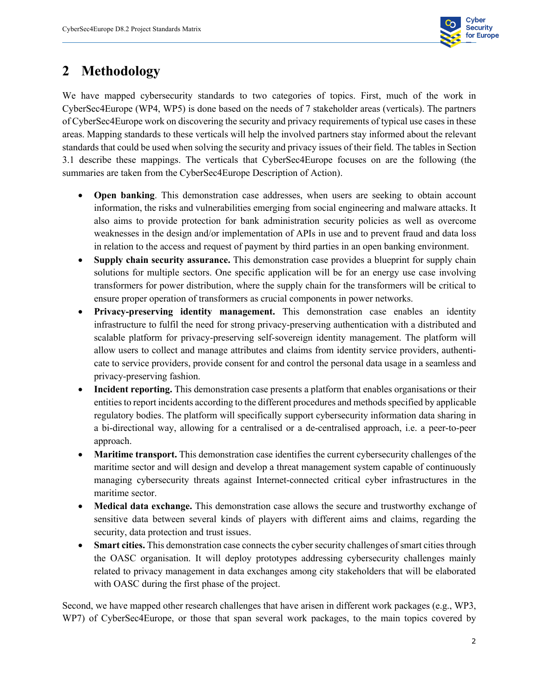

# **2 Methodology**

We have mapped cybersecurity standards to two categories of topics. First, much of the work in CyberSec4Europe (WP4, WP5) is done based on the needs of 7 stakeholder areas (verticals). The partners of CyberSec4Europe work on discovering the security and privacy requirements of typical use cases in these areas. Mapping standards to these verticals will help the involved partners stay informed about the relevant standards that could be used when solving the security and privacy issues of their field. The tables in Section 3.1 describe these mappings. The verticals that CyberSec4Europe focuses on are the following (the summaries are taken from the CyberSec4Europe Description of Action).

- **Open banking**. This demonstration case addresses, when users are seeking to obtain account information, the risks and vulnerabilities emerging from social engineering and malware attacks. It also aims to provide protection for bank administration security policies as well as overcome weaknesses in the design and/or implementation of APIs in use and to prevent fraud and data loss in relation to the access and request of payment by third parties in an open banking environment.
- **Supply chain security assurance.** This demonstration case provides a blueprint for supply chain solutions for multiple sectors. One specific application will be for an energy use case involving transformers for power distribution, where the supply chain for the transformers will be critical to ensure proper operation of transformers as crucial components in power networks.
- **Privacy-preserving identity management.** This demonstration case enables an identity infrastructure to fulfil the need for strong privacy-preserving authentication with a distributed and scalable platform for privacy-preserving self-sovereign identity management. The platform will allow users to collect and manage attributes and claims from identity service providers, authenticate to service providers, provide consent for and control the personal data usage in a seamless and privacy-preserving fashion.
- **Incident reporting.** This demonstration case presents a platform that enables organisations or their entities to report incidents according to the different procedures and methods specified by applicable regulatory bodies. The platform will specifically support cybersecurity information data sharing in a bi-directional way, allowing for a centralised or a de-centralised approach, i.e. a peer-to-peer approach.
- **Maritime transport.** This demonstration case identifies the current cybersecurity challenges of the maritime sector and will design and develop a threat management system capable of continuously managing cybersecurity threats against Internet-connected critical cyber infrastructures in the maritime sector.
- **Medical data exchange.** This demonstration case allows the secure and trustworthy exchange of sensitive data between several kinds of players with different aims and claims, regarding the security, data protection and trust issues.
- **Smart cities.** This demonstration case connects the cyber security challenges of smart cities through the OASC organisation. It will deploy prototypes addressing cybersecurity challenges mainly related to privacy management in data exchanges among city stakeholders that will be elaborated with OASC during the first phase of the project.

Second, we have mapped other research challenges that have arisen in different work packages (e.g., WP3, WP7) of CyberSec4Europe, or those that span several work packages, to the main topics covered by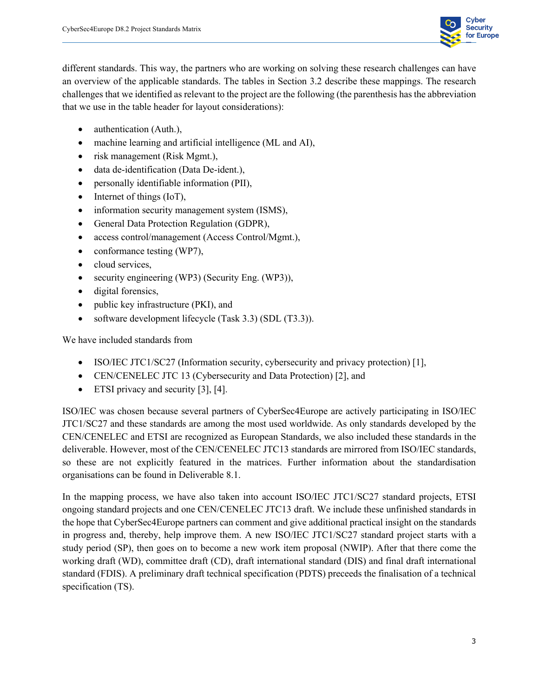

different standards. This way, the partners who are working on solving these research challenges can have an overview of the applicable standards. The tables in Section 3.2 describe these mappings. The research challenges that we identified as relevant to the project are the following (the parenthesis hasthe abbreviation that we use in the table header for layout considerations):

- authentication (Auth.),
- machine learning and artificial intelligence (ML and AI),
- risk management (Risk Mgmt.),
- data de-identification (Data De-ident.),
- personally identifiable information (PII),
- Internet of things (IoT),
- information security management system (ISMS),
- General Data Protection Regulation (GDPR),
- access control/management (Access Control/Mgmt.),
- conformance testing (WP7),
- cloud services.
- security engineering (WP3) (Security Eng. (WP3)),
- digital forensics,
- public key infrastructure (PKI), and
- software development lifecycle (Task 3.3) (SDL (T3.3)).

We have included standards from

- ISO/IEC JTC1/SC27 (Information security, cybersecurity and privacy protection) [1],
- CEN/CENELEC JTC 13 (Cybersecurity and Data Protection) [2], and
- ETSI privacy and security [3], [4].

ISO/IEC was chosen because several partners of CyberSec4Europe are actively participating in ISO/IEC JTC1/SC27 and these standards are among the most used worldwide. As only standards developed by the CEN/CENELEC and ETSI are recognized as European Standards, we also included these standards in the deliverable. However, most of the CEN/CENELEC JTC13 standards are mirrored from ISO/IEC standards, so these are not explicitly featured in the matrices. Further information about the standardisation organisations can be found in Deliverable 8.1.

In the mapping process, we have also taken into account ISO/IEC JTC1/SC27 standard projects, ETSI ongoing standard projects and one CEN/CENELEC JTC13 draft. We include these unfinished standards in the hope that CyberSec4Europe partners can comment and give additional practical insight on the standards in progress and, thereby, help improve them. A new ISO/IEC JTC1/SC27 standard project starts with a study period (SP), then goes on to become a new work item proposal (NWIP). After that there come the working draft (WD), committee draft (CD), draft international standard (DIS) and final draft international standard (FDIS). A preliminary draft technical specification (PDTS) preceeds the finalisation of a technical specification (TS).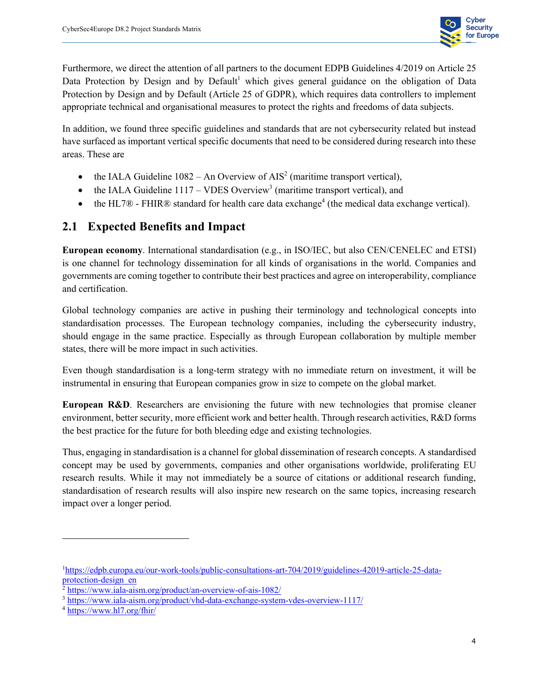

Furthermore, we direct the attention of all partners to the document EDPB Guidelines 4/2019 on Article 25 Data Protection by Design and by Default<sup>1</sup> which gives general guidance on the obligation of Data Protection by Design and by Default (Article 25 of GDPR), which requires data controllers to implement appropriate technical and organisational measures to protect the rights and freedoms of data subjects.

In addition, we found three specific guidelines and standards that are not cybersecurity related but instead have surfaced as important vertical specific documents that need to be considered during research into these areas. These are

- the IALA Guideline  $1082 An$  Overview of AIS<sup>2</sup> (maritime transport vertical),
- the IALA Guideline  $1117 VDES$  Overview<sup>3</sup> (maritime transport vertical), and
- the HL7 $\mathcal D$  FHIR $\mathcal D$  standard for health care data exchange<sup>4</sup> (the medical data exchange vertical).

#### **2.1 Expected Benefits and Impact**

**European economy**. International standardisation (e.g., in ISO/IEC, but also CEN/CENELEC and ETSI) is one channel for technology dissemination for all kinds of organisations in the world. Companies and governments are coming together to contribute their best practices and agree on interoperability, compliance and certification.

Global technology companies are active in pushing their terminology and technological concepts into standardisation processes. The European technology companies, including the cybersecurity industry, should engage in the same practice. Especially as through European collaboration by multiple member states, there will be more impact in such activities.

Even though standardisation is a long-term strategy with no immediate return on investment, it will be instrumental in ensuring that European companies grow in size to compete on the global market.

**European R&D**. Researchers are envisioning the future with new technologies that promise cleaner environment, better security, more efficient work and better health. Through research activities, R&D forms the best practice for the future for both bleeding edge and existing technologies.

Thus, engaging in standardisation is a channel for global dissemination of research concepts. A standardised concept may be used by governments, companies and other organisations worldwide, proliferating EU research results. While it may not immediately be a source of citations or additional research funding, standardisation of research results will also inspire new research on the same topics, increasing research impact over a longer period.

<sup>&</sup>lt;sup>1</sup>https://edpb.europa.eu/our-work-tools/public-consultations-art-704/2019/guidelines-42019-article-25-dataprotection-design\_en

<sup>&</sup>lt;sup>2</sup> https://www.iala-aism.org/product/an-overview-of-ais-1082/

<sup>&</sup>lt;sup>3</sup> https://www.iala-aism.org/product/vhd-data-exchange-system-vdes-overview-1117/

<sup>4</sup> https://www.hl7.org/fhir/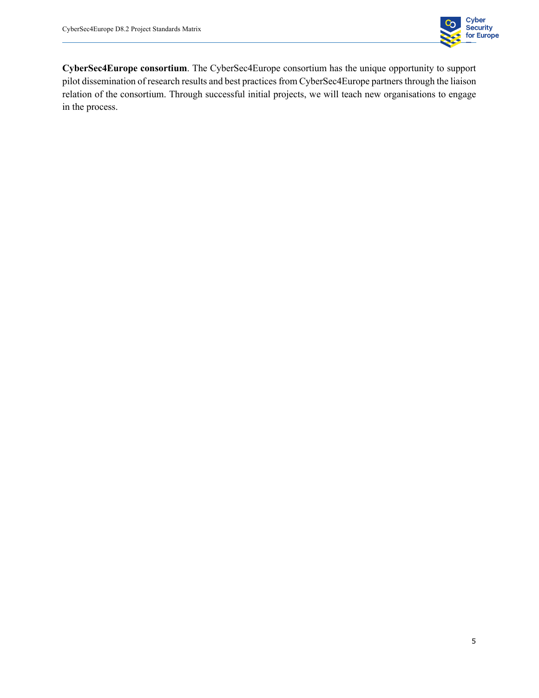

**CyberSec4Europe consortium**. The CyberSec4Europe consortium has the unique opportunity to support pilot dissemination of research results and best practices from CyberSec4Europe partners through the liaison relation of the consortium. Through successful initial projects, we will teach new organisations to engage in the process.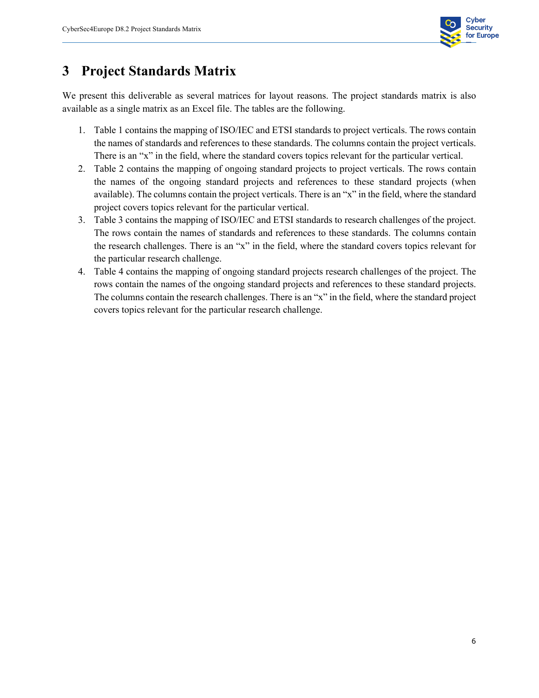

# **3 Project Standards Matrix**

We present this deliverable as several matrices for layout reasons. The project standards matrix is also available as a single matrix as an Excel file. The tables are the following.

- 1. Table 1 contains the mapping of ISO/IEC and ETSI standards to project verticals. The rows contain the names of standards and references to these standards. The columns contain the project verticals. There is an "x" in the field, where the standard covers topics relevant for the particular vertical.
- 2. Table 2 contains the mapping of ongoing standard projects to project verticals. The rows contain the names of the ongoing standard projects and references to these standard projects (when available). The columns contain the project verticals. There is an "x" in the field, where the standard project covers topics relevant for the particular vertical.
- 3. Table 3 contains the mapping of ISO/IEC and ETSI standards to research challenges of the project. The rows contain the names of standards and references to these standards. The columns contain the research challenges. There is an "x" in the field, where the standard covers topics relevant for the particular research challenge.
- 4. Table 4 contains the mapping of ongoing standard projects research challenges of the project. The rows contain the names of the ongoing standard projects and references to these standard projects. The columns contain the research challenges. There is an "x" in the field, where the standard project covers topics relevant for the particular research challenge.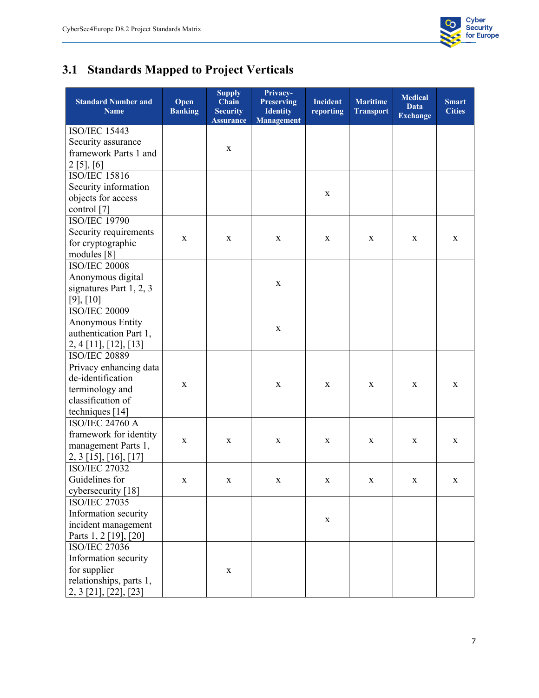

# **3.1 Standards Mapped to Project Verticals**

| <b>Standard Number and</b><br><b>Name</b> | Open<br><b>Banking</b> | <b>Supply</b><br>Chain<br><b>Security</b><br><b>Assurance</b> | Privacy-<br><b>Preserving</b><br><b>Identity</b><br><b>Management</b> | <b>Incident</b><br>reporting | <b>Maritime</b><br><b>Transport</b> | <b>Medical</b><br><b>Data</b><br><b>Exchange</b> | <b>Smart</b><br><b>Cities</b> |
|-------------------------------------------|------------------------|---------------------------------------------------------------|-----------------------------------------------------------------------|------------------------------|-------------------------------------|--------------------------------------------------|-------------------------------|
| <b>ISO/IEC 15443</b>                      |                        |                                                               |                                                                       |                              |                                     |                                                  |                               |
| Security assurance                        |                        |                                                               |                                                                       |                              |                                     |                                                  |                               |
| framework Parts 1 and                     |                        | $\mathbf X$                                                   |                                                                       |                              |                                     |                                                  |                               |
| 2 [5], [6]                                |                        |                                                               |                                                                       |                              |                                     |                                                  |                               |
| ISO/IEC 15816                             |                        |                                                               |                                                                       |                              |                                     |                                                  |                               |
| Security information                      |                        |                                                               |                                                                       |                              |                                     |                                                  |                               |
| objects for access                        |                        |                                                               |                                                                       | X                            |                                     |                                                  |                               |
| control [7]                               |                        |                                                               |                                                                       |                              |                                     |                                                  |                               |
| <b>ISO/IEC 19790</b>                      |                        |                                                               |                                                                       |                              |                                     |                                                  |                               |
| Security requirements                     |                        |                                                               |                                                                       |                              |                                     |                                                  |                               |
| for cryptographic                         | X                      | X                                                             | X                                                                     | X                            | X                                   | X                                                | X                             |
| modules [8]                               |                        |                                                               |                                                                       |                              |                                     |                                                  |                               |
| <b>ISO/IEC 20008</b>                      |                        |                                                               |                                                                       |                              |                                     |                                                  |                               |
| Anonymous digital                         |                        |                                                               |                                                                       |                              |                                     |                                                  |                               |
| signatures Part 1, 2, 3                   |                        |                                                               | X                                                                     |                              |                                     |                                                  |                               |
| [9], [10]                                 |                        |                                                               |                                                                       |                              |                                     |                                                  |                               |
| <b>ISO/IEC 20009</b>                      |                        |                                                               |                                                                       |                              |                                     |                                                  |                               |
| Anonymous Entity                          |                        |                                                               |                                                                       |                              |                                     |                                                  |                               |
| authentication Part 1,                    |                        |                                                               | X                                                                     |                              |                                     |                                                  |                               |
| $2, 4$ [11], [12], [13]                   |                        |                                                               |                                                                       |                              |                                     |                                                  |                               |
| <b>ISO/IEC 20889</b>                      |                        |                                                               |                                                                       |                              |                                     |                                                  |                               |
| Privacy enhancing data                    |                        |                                                               |                                                                       |                              |                                     |                                                  |                               |
| de-identification                         |                        |                                                               |                                                                       |                              |                                     |                                                  |                               |
| terminology and                           | X                      |                                                               | X                                                                     | X                            | X                                   | X                                                | X                             |
| classification of                         |                        |                                                               |                                                                       |                              |                                     |                                                  |                               |
| techniques [14]                           |                        |                                                               |                                                                       |                              |                                     |                                                  |                               |
| <b>ISO/IEC 24760 A</b>                    |                        |                                                               |                                                                       |                              |                                     |                                                  |                               |
| framework for identity                    | $\mathbf X$            | X                                                             | X                                                                     | X                            | X                                   | X                                                | X                             |
| management Parts 1,                       |                        |                                                               |                                                                       |                              |                                     |                                                  |                               |
| $2, 3$ [15], [16], [17]                   |                        |                                                               |                                                                       |                              |                                     |                                                  |                               |
| <b>ISO/IEC 27032</b>                      |                        |                                                               |                                                                       |                              |                                     |                                                  |                               |
| Guidelines for                            | X                      | X                                                             | X                                                                     | X                            | X                                   | X                                                | X                             |
| cybersecurity [18]                        |                        |                                                               |                                                                       |                              |                                     |                                                  |                               |
| <b>ISO/IEC 27035</b>                      |                        |                                                               |                                                                       |                              |                                     |                                                  |                               |
| Information security                      |                        |                                                               |                                                                       | X                            |                                     |                                                  |                               |
| incident management                       |                        |                                                               |                                                                       |                              |                                     |                                                  |                               |
| Parts 1, 2 [19], [20]                     |                        |                                                               |                                                                       |                              |                                     |                                                  |                               |
| <b>ISO/IEC 27036</b>                      |                        |                                                               |                                                                       |                              |                                     |                                                  |                               |
| Information security                      |                        |                                                               |                                                                       |                              |                                     |                                                  |                               |
| for supplier                              |                        | X                                                             |                                                                       |                              |                                     |                                                  |                               |
| relationships, parts 1,                   |                        |                                                               |                                                                       |                              |                                     |                                                  |                               |
| 2, 3 [21], [22], [23]                     |                        |                                                               |                                                                       |                              |                                     |                                                  |                               |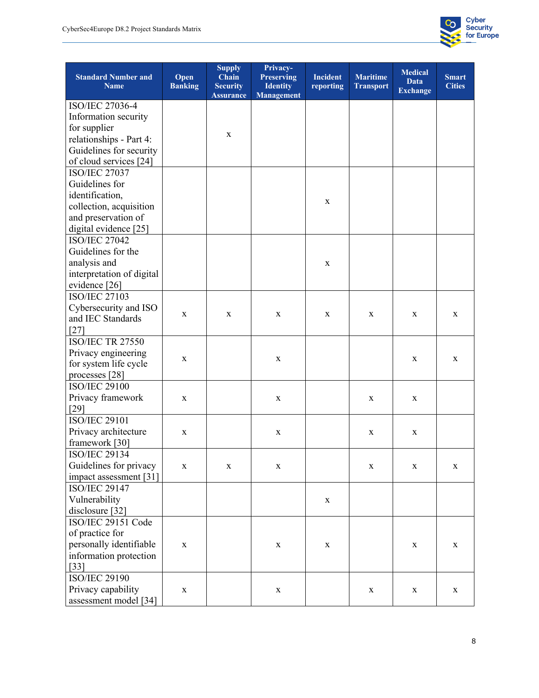

| <b>Standard Number and</b><br><b>Name</b> | Open<br><b>Banking</b> | <b>Supply</b><br>Chain<br><b>Security</b><br><b>Assurance</b> | Privacy-<br><b>Preserving</b><br><b>Identity</b><br><b>Management</b> | <b>Incident</b><br>reporting | <b>Maritime</b><br><b>Transport</b> | <b>Medical</b><br><b>Data</b><br><b>Exchange</b> | <b>Smart</b><br><b>Cities</b> |
|-------------------------------------------|------------------------|---------------------------------------------------------------|-----------------------------------------------------------------------|------------------------------|-------------------------------------|--------------------------------------------------|-------------------------------|
| ISO/IEC 27036-4                           |                        |                                                               |                                                                       |                              |                                     |                                                  |                               |
| Information security                      |                        |                                                               |                                                                       |                              |                                     |                                                  |                               |
| for supplier                              |                        |                                                               |                                                                       |                              |                                     |                                                  |                               |
| relationships - Part 4:                   |                        | X                                                             |                                                                       |                              |                                     |                                                  |                               |
| Guidelines for security                   |                        |                                                               |                                                                       |                              |                                     |                                                  |                               |
| of cloud services [24]                    |                        |                                                               |                                                                       |                              |                                     |                                                  |                               |
| <b>ISO/IEC 27037</b>                      |                        |                                                               |                                                                       |                              |                                     |                                                  |                               |
| Guidelines for                            |                        |                                                               |                                                                       |                              |                                     |                                                  |                               |
| identification,                           |                        |                                                               |                                                                       |                              |                                     |                                                  |                               |
| collection, acquisition                   |                        |                                                               |                                                                       | X                            |                                     |                                                  |                               |
| and preservation of                       |                        |                                                               |                                                                       |                              |                                     |                                                  |                               |
| digital evidence [25]                     |                        |                                                               |                                                                       |                              |                                     |                                                  |                               |
| <b>ISO/IEC 27042</b>                      |                        |                                                               |                                                                       |                              |                                     |                                                  |                               |
| Guidelines for the                        |                        |                                                               |                                                                       |                              |                                     |                                                  |                               |
| analysis and                              |                        |                                                               |                                                                       | X                            |                                     |                                                  |                               |
| interpretation of digital                 |                        |                                                               |                                                                       |                              |                                     |                                                  |                               |
| evidence [26]                             |                        |                                                               |                                                                       |                              |                                     |                                                  |                               |
| <b>ISO/IEC 27103</b>                      |                        |                                                               |                                                                       |                              |                                     |                                                  |                               |
| Cybersecurity and ISO                     |                        |                                                               |                                                                       |                              |                                     |                                                  |                               |
| and IEC Standards                         | X                      | X                                                             | X                                                                     | X                            | X                                   | X                                                | X                             |
| $[27]$                                    |                        |                                                               |                                                                       |                              |                                     |                                                  |                               |
| <b>ISO/IEC TR 27550</b>                   |                        |                                                               |                                                                       |                              |                                     |                                                  |                               |
| Privacy engineering                       |                        |                                                               |                                                                       |                              |                                     |                                                  |                               |
| for system life cycle                     | $\mathbf X$            |                                                               | X                                                                     |                              |                                     | X                                                | X                             |
| processes [28]                            |                        |                                                               |                                                                       |                              |                                     |                                                  |                               |
| <b>ISO/IEC 29100</b>                      |                        |                                                               |                                                                       |                              |                                     |                                                  |                               |
| Privacy framework                         | X                      |                                                               | X                                                                     |                              | $\mathbf x$                         | X                                                |                               |
| $[29]$                                    |                        |                                                               |                                                                       |                              |                                     |                                                  |                               |
| <b>ISO/IEC 29101</b>                      |                        |                                                               |                                                                       |                              |                                     |                                                  |                               |
| Privacy architecture                      | $\mathbf X$            |                                                               | X                                                                     |                              | X                                   | X                                                |                               |
| framework [30]                            |                        |                                                               |                                                                       |                              |                                     |                                                  |                               |
| <b>ISO/IEC 29134</b>                      |                        |                                                               |                                                                       |                              |                                     |                                                  |                               |
| Guidelines for privacy                    | $\mathbf X$            | $\mathbf X$                                                   | $\mathbf X$                                                           |                              | $\mathbf X$                         | $\mathbf X$                                      | $\mathbf X$                   |
| impact assessment [31]                    |                        |                                                               |                                                                       |                              |                                     |                                                  |                               |
| <b>ISO/IEC 29147</b>                      |                        |                                                               |                                                                       |                              |                                     |                                                  |                               |
| Vulnerability                             |                        |                                                               |                                                                       | $\mathbf X$                  |                                     |                                                  |                               |
| disclosure [32]                           |                        |                                                               |                                                                       |                              |                                     |                                                  |                               |
| ISO/IEC 29151 Code                        |                        |                                                               |                                                                       |                              |                                     |                                                  |                               |
| of practice for                           |                        |                                                               |                                                                       |                              |                                     |                                                  |                               |
| personally identifiable                   | $\mathbf X$            |                                                               | $\mathbf X$                                                           | $\mathbf X$                  |                                     | $\mathbf X$                                      | $\mathbf X$                   |
| information protection                    |                        |                                                               |                                                                       |                              |                                     |                                                  |                               |
| $[33]$                                    |                        |                                                               |                                                                       |                              |                                     |                                                  |                               |
| <b>ISO/IEC 29190</b>                      |                        |                                                               |                                                                       |                              |                                     |                                                  |                               |
| Privacy capability                        | $\mathbf X$            |                                                               | $\mathbf X$                                                           |                              | $\mathbf X$                         | $\mathbf X$                                      | $\mathbf X$                   |
| assessment model [34]                     |                        |                                                               |                                                                       |                              |                                     |                                                  |                               |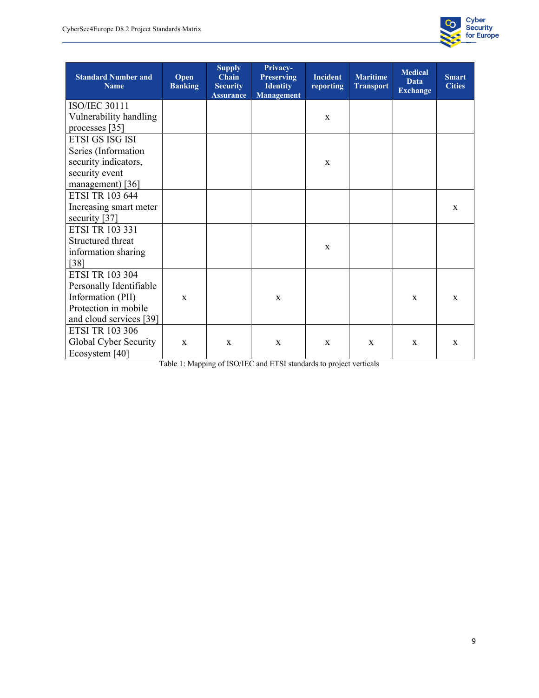

| <b>Standard Number and</b><br><b>Name</b> | Open<br><b>Banking</b> | <b>Supply</b><br><b>Chain</b><br><b>Security</b><br><b>Assurance</b> | Privacy-<br><b>Preserving</b><br><b>Identity</b><br><b>Management</b> | <b>Incident</b><br>reporting | <b>Maritime</b><br><b>Transport</b> | <b>Medical</b><br><b>Data</b><br><b>Exchange</b> | <b>Smart</b><br><b>Cities</b> |
|-------------------------------------------|------------------------|----------------------------------------------------------------------|-----------------------------------------------------------------------|------------------------------|-------------------------------------|--------------------------------------------------|-------------------------------|
| <b>ISO/IEC 30111</b>                      |                        |                                                                      |                                                                       |                              |                                     |                                                  |                               |
| Vulnerability handling                    |                        |                                                                      |                                                                       | $\mathbf X$                  |                                     |                                                  |                               |
| processes [35]                            |                        |                                                                      |                                                                       |                              |                                     |                                                  |                               |
| ETSI GS ISG ISI                           |                        |                                                                      |                                                                       |                              |                                     |                                                  |                               |
| Series (Information                       |                        |                                                                      |                                                                       |                              |                                     |                                                  |                               |
| security indicators,                      |                        |                                                                      |                                                                       | $\mathbf X$                  |                                     |                                                  |                               |
| security event                            |                        |                                                                      |                                                                       |                              |                                     |                                                  |                               |
| management) $[36]$                        |                        |                                                                      |                                                                       |                              |                                     |                                                  |                               |
| <b>ETSI TR 103 644</b>                    |                        |                                                                      |                                                                       |                              |                                     |                                                  |                               |
| Increasing smart meter                    |                        |                                                                      |                                                                       |                              |                                     |                                                  | $\mathbf{X}$                  |
| security [37]                             |                        |                                                                      |                                                                       |                              |                                     |                                                  |                               |
| <b>ETSI TR 103 331</b>                    |                        |                                                                      |                                                                       |                              |                                     |                                                  |                               |
| Structured threat                         |                        |                                                                      |                                                                       | $\mathbf X$                  |                                     |                                                  |                               |
| information sharing                       |                        |                                                                      |                                                                       |                              |                                     |                                                  |                               |
| $[38]$                                    |                        |                                                                      |                                                                       |                              |                                     |                                                  |                               |
| <b>ETSI TR 103 304</b>                    |                        |                                                                      |                                                                       |                              |                                     |                                                  |                               |
| Personally Identifiable                   |                        |                                                                      |                                                                       |                              |                                     |                                                  |                               |
| Information (PII)                         | $\mathbf{x}$           |                                                                      | $\mathbf{x}$                                                          |                              |                                     | $\mathbf{x}$                                     | $\mathbf{x}$                  |
| Protection in mobile                      |                        |                                                                      |                                                                       |                              |                                     |                                                  |                               |
| and cloud services [39]                   |                        |                                                                      |                                                                       |                              |                                     |                                                  |                               |
| <b>ETSI TR 103 306</b>                    |                        |                                                                      |                                                                       |                              |                                     |                                                  |                               |
| Global Cyber Security                     | $\mathbf{x}$           | $\mathbf X$                                                          | $\mathbf{x}$                                                          | $\mathbf X$                  | $\mathbf{x}$                        | $\mathbf X$                                      | $\mathbf{x}$                  |
| Ecosystem [40]                            |                        |                                                                      |                                                                       |                              |                                     |                                                  |                               |

Table 1: Mapping of ISO/IEC and ETSI standards to project verticals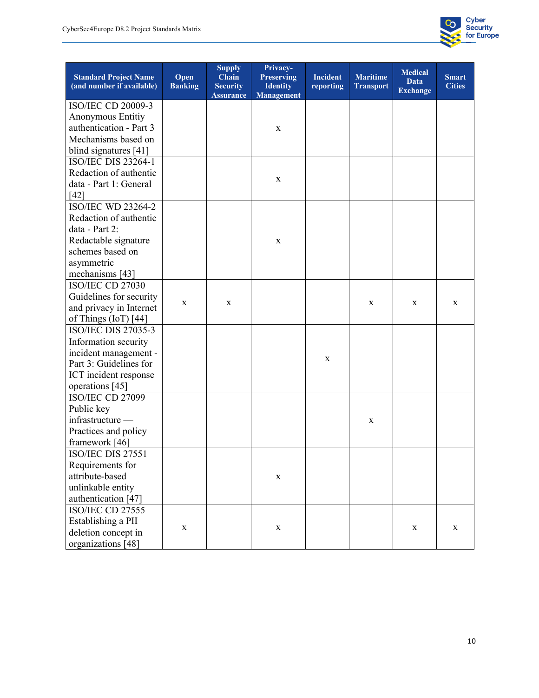

| <b>Standard Project Name</b><br>(and number if available) | Open<br><b>Banking</b> | <b>Supply</b><br>Chain<br><b>Security</b> | Privacy-<br><b>Preserving</b><br><b>Identity</b> | <b>Incident</b><br>reporting | <b>Maritime</b><br><b>Transport</b> | <b>Medical</b><br><b>Data</b><br><b>Exchange</b> | <b>Smart</b><br><b>Cities</b> |
|-----------------------------------------------------------|------------------------|-------------------------------------------|--------------------------------------------------|------------------------------|-------------------------------------|--------------------------------------------------|-------------------------------|
|                                                           |                        | <b>Assurance</b>                          | <b>Management</b>                                |                              |                                     |                                                  |                               |
| <b>ISO/IEC CD 20009-3</b>                                 |                        |                                           |                                                  |                              |                                     |                                                  |                               |
| Anonymous Entitiy                                         |                        |                                           |                                                  |                              |                                     |                                                  |                               |
| authentication - Part 3                                   |                        |                                           | X                                                |                              |                                     |                                                  |                               |
| Mechanisms based on                                       |                        |                                           |                                                  |                              |                                     |                                                  |                               |
| blind signatures [41]                                     |                        |                                           |                                                  |                              |                                     |                                                  |                               |
| <b>ISO/IEC DIS 23264-1</b>                                |                        |                                           |                                                  |                              |                                     |                                                  |                               |
| Redaction of authentic                                    |                        |                                           | X                                                |                              |                                     |                                                  |                               |
| data - Part 1: General                                    |                        |                                           |                                                  |                              |                                     |                                                  |                               |
| [42]                                                      |                        |                                           |                                                  |                              |                                     |                                                  |                               |
| ISO/IEC WD 23264-2                                        |                        |                                           |                                                  |                              |                                     |                                                  |                               |
| Redaction of authentic                                    |                        |                                           |                                                  |                              |                                     |                                                  |                               |
| data - Part 2:                                            |                        |                                           |                                                  |                              |                                     |                                                  |                               |
| Redactable signature                                      |                        |                                           | X                                                |                              |                                     |                                                  |                               |
| schemes based on                                          |                        |                                           |                                                  |                              |                                     |                                                  |                               |
| asymmetric                                                |                        |                                           |                                                  |                              |                                     |                                                  |                               |
| mechanisms [43]                                           |                        |                                           |                                                  |                              |                                     |                                                  |                               |
| <b>ISO/IEC CD 27030</b>                                   |                        |                                           |                                                  |                              |                                     |                                                  |                               |
| Guidelines for security                                   | X                      | X                                         |                                                  |                              | X                                   | X                                                | X                             |
| and privacy in Internet                                   |                        |                                           |                                                  |                              |                                     |                                                  |                               |
| of Things $(IoT)$ [44]                                    |                        |                                           |                                                  |                              |                                     |                                                  |                               |
| <b>ISO/IEC DIS 27035-3</b>                                |                        |                                           |                                                  |                              |                                     |                                                  |                               |
| Information security                                      |                        |                                           |                                                  |                              |                                     |                                                  |                               |
| incident management -                                     |                        |                                           |                                                  |                              |                                     |                                                  |                               |
| Part 3: Guidelines for                                    |                        |                                           |                                                  | $\mathbf X$                  |                                     |                                                  |                               |
| ICT incident response                                     |                        |                                           |                                                  |                              |                                     |                                                  |                               |
| operations [45]                                           |                        |                                           |                                                  |                              |                                     |                                                  |                               |
| ISO/IEC CD 27099                                          |                        |                                           |                                                  |                              |                                     |                                                  |                               |
| Public key                                                |                        |                                           |                                                  |                              |                                     |                                                  |                               |
| infrastructure -                                          |                        |                                           |                                                  |                              | X                                   |                                                  |                               |
| Practices and policy                                      |                        |                                           |                                                  |                              |                                     |                                                  |                               |
| framework [46]                                            |                        |                                           |                                                  |                              |                                     |                                                  |                               |
| ISO/IEC DIS 27551                                         |                        |                                           |                                                  |                              |                                     |                                                  |                               |
| Requirements for                                          |                        |                                           |                                                  |                              |                                     |                                                  |                               |
| attribute-based                                           |                        |                                           | X                                                |                              |                                     |                                                  |                               |
| unlinkable entity                                         |                        |                                           |                                                  |                              |                                     |                                                  |                               |
| authentication [47]                                       |                        |                                           |                                                  |                              |                                     |                                                  |                               |
| ISO/IEC CD 27555                                          |                        |                                           |                                                  |                              |                                     |                                                  |                               |
| Establishing a PII                                        |                        |                                           |                                                  |                              |                                     |                                                  |                               |
| deletion concept in                                       | $\mathbf X$            |                                           | $\mathbf X$                                      |                              |                                     | X                                                | X                             |
| organizations [48]                                        |                        |                                           |                                                  |                              |                                     |                                                  |                               |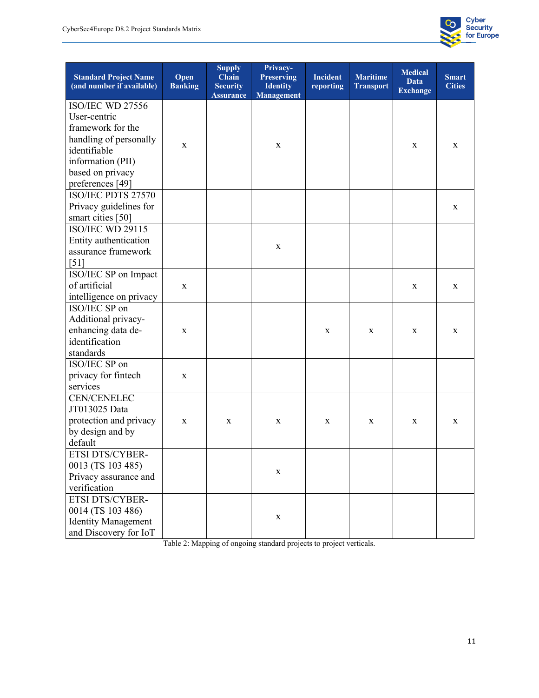

| <b>Standard Project Name</b><br>(and number if available)                                                                                                           | Open<br><b>Banking</b> | <b>Supply</b><br>Chain<br><b>Security</b><br><b>Assurance</b> | Privacy-<br><b>Preserving</b><br><b>Identity</b><br><b>Management</b> | <b>Incident</b><br>reporting | <b>Maritime</b><br><b>Transport</b> | <b>Medical</b><br><b>Data</b><br><b>Exchange</b> | <b>Smart</b><br><b>Cities</b> |
|---------------------------------------------------------------------------------------------------------------------------------------------------------------------|------------------------|---------------------------------------------------------------|-----------------------------------------------------------------------|------------------------------|-------------------------------------|--------------------------------------------------|-------------------------------|
| <b>ISO/IEC WD 27556</b><br>User-centric<br>framework for the<br>handling of personally<br>identifiable<br>information (PII)<br>based on privacy<br>preferences [49] | X                      |                                                               | X                                                                     |                              |                                     | X                                                | X                             |
| ISO/IEC PDTS 27570<br>Privacy guidelines for<br>smart cities [50]                                                                                                   |                        |                                                               |                                                                       |                              |                                     |                                                  | X                             |
| <b>ISO/IEC WD 29115</b><br>Entity authentication<br>assurance framework<br>[51]                                                                                     |                        |                                                               | $\mathbf X$                                                           |                              |                                     |                                                  |                               |
| ISO/IEC SP on Impact<br>of artificial<br>intelligence on privacy                                                                                                    | X                      |                                                               |                                                                       |                              |                                     | X                                                | X                             |
| ISO/IEC SP on<br>Additional privacy-<br>enhancing data de-<br>identification<br>standards                                                                           | X                      |                                                               |                                                                       | X                            | X                                   | X                                                | X                             |
| ISO/IEC SP on<br>privacy for fintech<br>services                                                                                                                    | X                      |                                                               |                                                                       |                              |                                     |                                                  |                               |
| <b>CEN/CENELEC</b><br>JT013025 Data<br>protection and privacy<br>by design and by<br>default                                                                        | X                      | X                                                             | X                                                                     | X                            | X                                   | X                                                | X                             |
| ETSI DTS/CYBER-<br>0013 (TS 103 485)<br>Privacy assurance and<br>verification                                                                                       |                        |                                                               | $\mathbf X$                                                           |                              |                                     |                                                  |                               |
| ETSI DTS/CYBER-<br>0014 (TS 103 486)<br><b>Identity Management</b><br>and Discovery for IoT                                                                         |                        |                                                               | $\mathbf X$                                                           |                              |                                     |                                                  |                               |

Table 2: Mapping of ongoing standard projects to project verticals.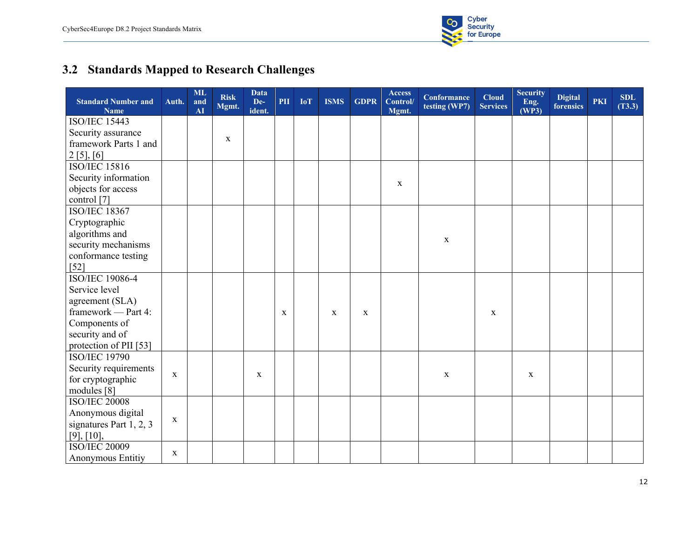

# **3.2 Standards Mapped to Research Challenges**

| <b>Standard Number and</b><br><b>Name</b> | Auth.       | ML<br>and<br>$\overline{\mathbf{A}}$ | <b>Risk</b><br>Mgmt. | <b>Data</b><br>De-<br>ident. | PII | <b>IoT</b> | <b>ISMS</b>  | <b>GDPR</b>  | <b>Access</b><br>Control/<br>Mgmt. | <b>Conformance</b><br>testing (WP7) | <b>Cloud</b><br><b>Services</b> | <b>Security</b><br>Eng.<br>(WP3) | <b>Digital</b><br>forensics | <b>PKI</b> | <b>SDL</b><br>(T3.3) |
|-------------------------------------------|-------------|--------------------------------------|----------------------|------------------------------|-----|------------|--------------|--------------|------------------------------------|-------------------------------------|---------------------------------|----------------------------------|-----------------------------|------------|----------------------|
| <b>ISO/IEC 15443</b>                      |             |                                      |                      |                              |     |            |              |              |                                    |                                     |                                 |                                  |                             |            |                      |
| Security assurance                        |             |                                      |                      |                              |     |            |              |              |                                    |                                     |                                 |                                  |                             |            |                      |
| framework Parts 1 and                     |             |                                      | $\mathbf X$          |                              |     |            |              |              |                                    |                                     |                                 |                                  |                             |            |                      |
| 2[5],[6]                                  |             |                                      |                      |                              |     |            |              |              |                                    |                                     |                                 |                                  |                             |            |                      |
| <b>ISO/IEC 15816</b>                      |             |                                      |                      |                              |     |            |              |              |                                    |                                     |                                 |                                  |                             |            |                      |
| Security information                      |             |                                      |                      |                              |     |            |              |              | $\mathbf X$                        |                                     |                                 |                                  |                             |            |                      |
| objects for access                        |             |                                      |                      |                              |     |            |              |              |                                    |                                     |                                 |                                  |                             |            |                      |
| control [7]                               |             |                                      |                      |                              |     |            |              |              |                                    |                                     |                                 |                                  |                             |            |                      |
| <b>ISO/IEC</b> 18367                      |             |                                      |                      |                              |     |            |              |              |                                    |                                     |                                 |                                  |                             |            |                      |
| Cryptographic                             |             |                                      |                      |                              |     |            |              |              |                                    |                                     |                                 |                                  |                             |            |                      |
| algorithms and                            |             |                                      |                      |                              |     |            |              |              |                                    | $\mathbf X$                         |                                 |                                  |                             |            |                      |
| security mechanisms                       |             |                                      |                      |                              |     |            |              |              |                                    |                                     |                                 |                                  |                             |            |                      |
| conformance testing                       |             |                                      |                      |                              |     |            |              |              |                                    |                                     |                                 |                                  |                             |            |                      |
| $[52]$                                    |             |                                      |                      |                              |     |            |              |              |                                    |                                     |                                 |                                  |                             |            |                      |
| <b>ISO/IEC 19086-4</b>                    |             |                                      |                      |                              |     |            |              |              |                                    |                                     |                                 |                                  |                             |            |                      |
| Service level                             |             |                                      |                      |                              |     |            |              |              |                                    |                                     |                                 |                                  |                             |            |                      |
| agreement (SLA)                           |             |                                      |                      |                              |     |            |              |              |                                    |                                     |                                 |                                  |                             |            |                      |
| framework - Part 4:                       |             |                                      |                      |                              | X   |            | $\mathbf{x}$ | $\mathbf{X}$ |                                    |                                     | $\mathbf{x}$                    |                                  |                             |            |                      |
| Components of                             |             |                                      |                      |                              |     |            |              |              |                                    |                                     |                                 |                                  |                             |            |                      |
| security and of                           |             |                                      |                      |                              |     |            |              |              |                                    |                                     |                                 |                                  |                             |            |                      |
| protection of PII [53]                    |             |                                      |                      |                              |     |            |              |              |                                    |                                     |                                 |                                  |                             |            |                      |
| <b>ISO/IEC 19790</b>                      |             |                                      |                      |                              |     |            |              |              |                                    |                                     |                                 |                                  |                             |            |                      |
| Security requirements                     | $\mathbf X$ |                                      |                      | $\mathbf x$                  |     |            |              |              |                                    | $\mathbf X$                         |                                 | $\mathbf X$                      |                             |            |                      |
| for cryptographic                         |             |                                      |                      |                              |     |            |              |              |                                    |                                     |                                 |                                  |                             |            |                      |
| modules [8]<br><b>ISO/IEC 20008</b>       |             |                                      |                      |                              |     |            |              |              |                                    |                                     |                                 |                                  |                             |            |                      |
| Anonymous digital                         |             |                                      |                      |                              |     |            |              |              |                                    |                                     |                                 |                                  |                             |            |                      |
| signatures Part 1, 2, 3                   | $\mathbf X$ |                                      |                      |                              |     |            |              |              |                                    |                                     |                                 |                                  |                             |            |                      |
| [9], [10],                                |             |                                      |                      |                              |     |            |              |              |                                    |                                     |                                 |                                  |                             |            |                      |
| <b>ISO/IEC 20009</b>                      |             |                                      |                      |                              |     |            |              |              |                                    |                                     |                                 |                                  |                             |            |                      |
| Anonymous Entitiy                         | X           |                                      |                      |                              |     |            |              |              |                                    |                                     |                                 |                                  |                             |            |                      |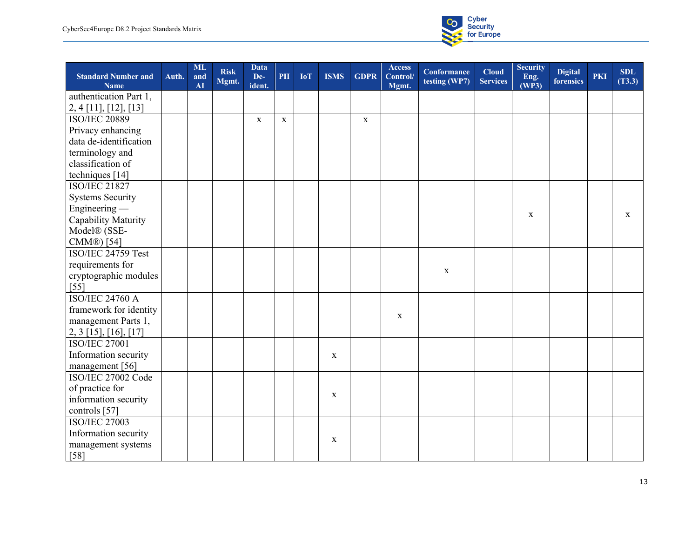

| <b>Standard Number and</b><br><b>Name</b> | Auth. | <b>ML</b><br>and<br>AI | <b>Risk</b><br>Mgmt. | <b>Data</b><br>De-<br>ident. | PII         | <b>IoT</b> | <b>ISMS</b> | <b>GDPR</b> | <b>Access</b><br>Control/<br>Mgmt. | <b>Conformance</b><br>testing (WP7) | <b>Cloud</b><br><b>Services</b> | <b>Security</b><br>Eng.<br>(WP3) | <b>Digital</b><br>forensics | <b>PKI</b> | <b>SDL</b><br>(T3.3) |
|-------------------------------------------|-------|------------------------|----------------------|------------------------------|-------------|------------|-------------|-------------|------------------------------------|-------------------------------------|---------------------------------|----------------------------------|-----------------------------|------------|----------------------|
| authentication Part 1,                    |       |                        |                      |                              |             |            |             |             |                                    |                                     |                                 |                                  |                             |            |                      |
| $2, 4$ [11], [12], [13]                   |       |                        |                      |                              |             |            |             |             |                                    |                                     |                                 |                                  |                             |            |                      |
| <b>ISO/IEC 20889</b>                      |       |                        |                      | $\mathbf x$                  | $\mathbf X$ |            |             | $\mathbf x$ |                                    |                                     |                                 |                                  |                             |            |                      |
| Privacy enhancing                         |       |                        |                      |                              |             |            |             |             |                                    |                                     |                                 |                                  |                             |            |                      |
| data de-identification                    |       |                        |                      |                              |             |            |             |             |                                    |                                     |                                 |                                  |                             |            |                      |
| terminology and                           |       |                        |                      |                              |             |            |             |             |                                    |                                     |                                 |                                  |                             |            |                      |
| classification of                         |       |                        |                      |                              |             |            |             |             |                                    |                                     |                                 |                                  |                             |            |                      |
| techniques [14]                           |       |                        |                      |                              |             |            |             |             |                                    |                                     |                                 |                                  |                             |            |                      |
| <b>ISO/IEC 21827</b>                      |       |                        |                      |                              |             |            |             |             |                                    |                                     |                                 |                                  |                             |            |                      |
| <b>Systems Security</b>                   |       |                        |                      |                              |             |            |             |             |                                    |                                     |                                 |                                  |                             |            |                      |
| $Engineering -$                           |       |                        |                      |                              |             |            |             |             |                                    |                                     |                                 |                                  |                             |            |                      |
| Capability Maturity                       |       |                        |                      |                              |             |            |             |             |                                    |                                     |                                 | $\mathbf x$                      |                             |            | $\mathbf x$          |
| Model <sup>®</sup> (SSE-                  |       |                        |                      |                              |             |            |             |             |                                    |                                     |                                 |                                  |                             |            |                      |
| CMM®) [54]                                |       |                        |                      |                              |             |            |             |             |                                    |                                     |                                 |                                  |                             |            |                      |
| ISO/IEC 24759 Test                        |       |                        |                      |                              |             |            |             |             |                                    |                                     |                                 |                                  |                             |            |                      |
| requirements for                          |       |                        |                      |                              |             |            |             |             |                                    |                                     |                                 |                                  |                             |            |                      |
| cryptographic modules                     |       |                        |                      |                              |             |            |             |             |                                    | $\mathbf X$                         |                                 |                                  |                             |            |                      |
| $[55]$                                    |       |                        |                      |                              |             |            |             |             |                                    |                                     |                                 |                                  |                             |            |                      |
| <b>ISO/IEC 24760 A</b>                    |       |                        |                      |                              |             |            |             |             |                                    |                                     |                                 |                                  |                             |            |                      |
| framework for identity                    |       |                        |                      |                              |             |            |             |             |                                    |                                     |                                 |                                  |                             |            |                      |
| management Parts 1,                       |       |                        |                      |                              |             |            |             |             | X                                  |                                     |                                 |                                  |                             |            |                      |
| $2, 3$ [15], [16], [17]                   |       |                        |                      |                              |             |            |             |             |                                    |                                     |                                 |                                  |                             |            |                      |
| <b>ISO/IEC 27001</b>                      |       |                        |                      |                              |             |            |             |             |                                    |                                     |                                 |                                  |                             |            |                      |
| Information security                      |       |                        |                      |                              |             |            | $\mathbf X$ |             |                                    |                                     |                                 |                                  |                             |            |                      |
| management [56]                           |       |                        |                      |                              |             |            |             |             |                                    |                                     |                                 |                                  |                             |            |                      |
| ISO/IEC 27002 Code                        |       |                        |                      |                              |             |            |             |             |                                    |                                     |                                 |                                  |                             |            |                      |
| of practice for                           |       |                        |                      |                              |             |            | $\mathbf X$ |             |                                    |                                     |                                 |                                  |                             |            |                      |
| information security                      |       |                        |                      |                              |             |            |             |             |                                    |                                     |                                 |                                  |                             |            |                      |
| controls [57]                             |       |                        |                      |                              |             |            |             |             |                                    |                                     |                                 |                                  |                             |            |                      |
| <b>ISO/IEC 27003</b>                      |       |                        |                      |                              |             |            |             |             |                                    |                                     |                                 |                                  |                             |            |                      |
| Information security                      |       |                        |                      |                              |             |            |             |             |                                    |                                     |                                 |                                  |                             |            |                      |
| management systems                        |       |                        |                      |                              |             |            | $\mathbf X$ |             |                                    |                                     |                                 |                                  |                             |            |                      |
| $[58]$                                    |       |                        |                      |                              |             |            |             |             |                                    |                                     |                                 |                                  |                             |            |                      |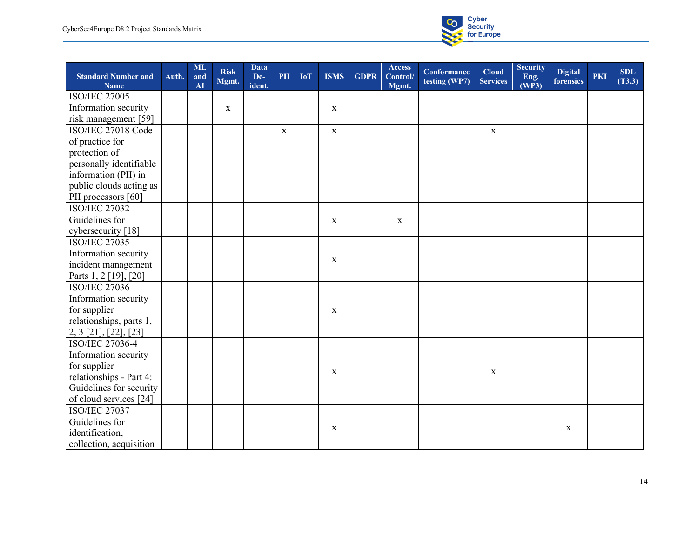

| <b>Standard Number and</b><br><b>Name</b> | Auth. | <b>ML</b><br>and<br>AI | <b>Risk</b><br>Mgmt. | <b>Data</b><br>De-<br>ident. | PII         | <b>IoT</b> | <b>ISMS</b> | <b>GDPR</b> | <b>Access</b><br>Control/<br>Mgmt. | <b>Conformance</b><br>testing (WP7) | <b>Cloud</b><br><b>Services</b> | <b>Security</b><br>Eng.<br>(WP3) | <b>Digital</b><br>forensics | <b>PKI</b> | <b>SDL</b><br>(T3.3) |
|-------------------------------------------|-------|------------------------|----------------------|------------------------------|-------------|------------|-------------|-------------|------------------------------------|-------------------------------------|---------------------------------|----------------------------------|-----------------------------|------------|----------------------|
| <b>ISO/IEC 27005</b>                      |       |                        |                      |                              |             |            |             |             |                                    |                                     |                                 |                                  |                             |            |                      |
| Information security                      |       |                        | $\mathbf X$          |                              |             |            | $\mathbf X$ |             |                                    |                                     |                                 |                                  |                             |            |                      |
| risk management [59]                      |       |                        |                      |                              |             |            |             |             |                                    |                                     |                                 |                                  |                             |            |                      |
| ISO/IEC 27018 Code                        |       |                        |                      |                              | $\mathbf X$ |            | $\mathbf X$ |             |                                    |                                     | $\mathbf X$                     |                                  |                             |            |                      |
| of practice for                           |       |                        |                      |                              |             |            |             |             |                                    |                                     |                                 |                                  |                             |            |                      |
| protection of                             |       |                        |                      |                              |             |            |             |             |                                    |                                     |                                 |                                  |                             |            |                      |
| personally identifiable                   |       |                        |                      |                              |             |            |             |             |                                    |                                     |                                 |                                  |                             |            |                      |
| information (PII) in                      |       |                        |                      |                              |             |            |             |             |                                    |                                     |                                 |                                  |                             |            |                      |
| public clouds acting as                   |       |                        |                      |                              |             |            |             |             |                                    |                                     |                                 |                                  |                             |            |                      |
| PII processors [60]                       |       |                        |                      |                              |             |            |             |             |                                    |                                     |                                 |                                  |                             |            |                      |
| <b>ISO/IEC 27032</b>                      |       |                        |                      |                              |             |            |             |             |                                    |                                     |                                 |                                  |                             |            |                      |
| Guidelines for                            |       |                        |                      |                              |             |            | $\mathbf X$ |             | $\mathbf X$                        |                                     |                                 |                                  |                             |            |                      |
| cybersecurity [18]                        |       |                        |                      |                              |             |            |             |             |                                    |                                     |                                 |                                  |                             |            |                      |
| <b>ISO/IEC 27035</b>                      |       |                        |                      |                              |             |            |             |             |                                    |                                     |                                 |                                  |                             |            |                      |
| Information security                      |       |                        |                      |                              |             |            | $\mathbf X$ |             |                                    |                                     |                                 |                                  |                             |            |                      |
| incident management                       |       |                        |                      |                              |             |            |             |             |                                    |                                     |                                 |                                  |                             |            |                      |
| Parts 1, 2 [19], [20]                     |       |                        |                      |                              |             |            |             |             |                                    |                                     |                                 |                                  |                             |            |                      |
| <b>ISO/IEC 27036</b>                      |       |                        |                      |                              |             |            |             |             |                                    |                                     |                                 |                                  |                             |            |                      |
| Information security                      |       |                        |                      |                              |             |            |             |             |                                    |                                     |                                 |                                  |                             |            |                      |
| for supplier                              |       |                        |                      |                              |             |            | X           |             |                                    |                                     |                                 |                                  |                             |            |                      |
| relationships, parts 1,                   |       |                        |                      |                              |             |            |             |             |                                    |                                     |                                 |                                  |                             |            |                      |
| 2, 3 [21], [22], [23]                     |       |                        |                      |                              |             |            |             |             |                                    |                                     |                                 |                                  |                             |            |                      |
| ISO/IEC 27036-4                           |       |                        |                      |                              |             |            |             |             |                                    |                                     |                                 |                                  |                             |            |                      |
| Information security                      |       |                        |                      |                              |             |            |             |             |                                    |                                     |                                 |                                  |                             |            |                      |
| for supplier                              |       |                        |                      |                              |             |            | X           |             |                                    |                                     | $\mathbf x$                     |                                  |                             |            |                      |
| relationships - Part 4:                   |       |                        |                      |                              |             |            |             |             |                                    |                                     |                                 |                                  |                             |            |                      |
| Guidelines for security                   |       |                        |                      |                              |             |            |             |             |                                    |                                     |                                 |                                  |                             |            |                      |
| of cloud services [24]                    |       |                        |                      |                              |             |            |             |             |                                    |                                     |                                 |                                  |                             |            |                      |
| <b>ISO/IEC 27037</b>                      |       |                        |                      |                              |             |            |             |             |                                    |                                     |                                 |                                  |                             |            |                      |
| Guidelines for                            |       |                        |                      |                              |             |            | $\mathbf X$ |             |                                    |                                     |                                 |                                  | $\mathbf X$                 |            |                      |
| identification,                           |       |                        |                      |                              |             |            |             |             |                                    |                                     |                                 |                                  |                             |            |                      |
| collection, acquisition                   |       |                        |                      |                              |             |            |             |             |                                    |                                     |                                 |                                  |                             |            |                      |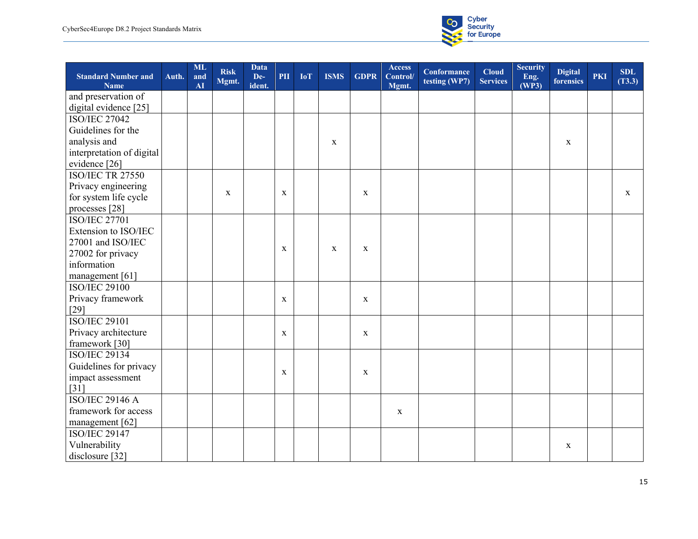

| <b>Standard Number and</b><br><b>Name</b> | Auth. | <b>ML</b><br>and<br><b>AI</b> | <b>Risk</b><br>Mgmt. | Data<br>De-<br>ident. | PII         | <b>IoT</b> | <b>ISMS</b> | <b>GDPR</b> | <b>Access</b><br>Control/<br>Mgmt. | <b>Conformance</b><br>testing (WP7) | <b>Cloud</b><br><b>Services</b> | Security<br>Eng.<br>(WP3) | <b>Digital</b><br>forensics | <b>PKI</b> | <b>SDL</b><br>(T3.3) |
|-------------------------------------------|-------|-------------------------------|----------------------|-----------------------|-------------|------------|-------------|-------------|------------------------------------|-------------------------------------|---------------------------------|---------------------------|-----------------------------|------------|----------------------|
| and preservation of                       |       |                               |                      |                       |             |            |             |             |                                    |                                     |                                 |                           |                             |            |                      |
| digital evidence [25]                     |       |                               |                      |                       |             |            |             |             |                                    |                                     |                                 |                           |                             |            |                      |
| <b>ISO/IEC 27042</b>                      |       |                               |                      |                       |             |            |             |             |                                    |                                     |                                 |                           |                             |            |                      |
| Guidelines for the                        |       |                               |                      |                       |             |            |             |             |                                    |                                     |                                 |                           |                             |            |                      |
| analysis and                              |       |                               |                      |                       |             |            | X           |             |                                    |                                     |                                 |                           | $\mathbf X$                 |            |                      |
| interpretation of digital                 |       |                               |                      |                       |             |            |             |             |                                    |                                     |                                 |                           |                             |            |                      |
| evidence [26]                             |       |                               |                      |                       |             |            |             |             |                                    |                                     |                                 |                           |                             |            |                      |
| <b>ISO/IEC TR 27550</b>                   |       |                               |                      |                       |             |            |             |             |                                    |                                     |                                 |                           |                             |            |                      |
| Privacy engineering                       |       |                               |                      |                       |             |            |             |             |                                    |                                     |                                 |                           |                             |            |                      |
| for system life cycle                     |       |                               | $\mathbf X$          |                       | $\mathbf X$ |            |             | $\mathbf X$ |                                    |                                     |                                 |                           |                             |            | $\mathbf X$          |
| processes [28]                            |       |                               |                      |                       |             |            |             |             |                                    |                                     |                                 |                           |                             |            |                      |
| <b>ISO/IEC 27701</b>                      |       |                               |                      |                       |             |            |             |             |                                    |                                     |                                 |                           |                             |            |                      |
| Extension to ISO/IEC                      |       |                               |                      |                       |             |            |             |             |                                    |                                     |                                 |                           |                             |            |                      |
| 27001 and ISO/IEC                         |       |                               |                      |                       | $\mathbf X$ |            | $\mathbf x$ | $\mathbf X$ |                                    |                                     |                                 |                           |                             |            |                      |
| 27002 for privacy                         |       |                               |                      |                       |             |            |             |             |                                    |                                     |                                 |                           |                             |            |                      |
| information                               |       |                               |                      |                       |             |            |             |             |                                    |                                     |                                 |                           |                             |            |                      |
| management [61]                           |       |                               |                      |                       |             |            |             |             |                                    |                                     |                                 |                           |                             |            |                      |
| <b>ISO/IEC 29100</b>                      |       |                               |                      |                       |             |            |             |             |                                    |                                     |                                 |                           |                             |            |                      |
| Privacy framework                         |       |                               |                      |                       | $\mathbf x$ |            |             | $\mathbf X$ |                                    |                                     |                                 |                           |                             |            |                      |
| $[29]$                                    |       |                               |                      |                       |             |            |             |             |                                    |                                     |                                 |                           |                             |            |                      |
| <b>ISO/IEC 29101</b>                      |       |                               |                      |                       |             |            |             |             |                                    |                                     |                                 |                           |                             |            |                      |
| Privacy architecture                      |       |                               |                      |                       | $\mathbf X$ |            |             | $\mathbf X$ |                                    |                                     |                                 |                           |                             |            |                      |
| framework [30]                            |       |                               |                      |                       |             |            |             |             |                                    |                                     |                                 |                           |                             |            |                      |
| <b>ISO/IEC 29134</b>                      |       |                               |                      |                       |             |            |             |             |                                    |                                     |                                 |                           |                             |            |                      |
| Guidelines for privacy                    |       |                               |                      |                       | $\mathbf x$ |            |             | $\mathbf X$ |                                    |                                     |                                 |                           |                             |            |                      |
| impact assessment                         |       |                               |                      |                       |             |            |             |             |                                    |                                     |                                 |                           |                             |            |                      |
| $[31]$                                    |       |                               |                      |                       |             |            |             |             |                                    |                                     |                                 |                           |                             |            |                      |
| <b>ISO/IEC 29146 A</b>                    |       |                               |                      |                       |             |            |             |             |                                    |                                     |                                 |                           |                             |            |                      |
| framework for access                      |       |                               |                      |                       |             |            |             |             | $\mathbf X$                        |                                     |                                 |                           |                             |            |                      |
| management [62]                           |       |                               |                      |                       |             |            |             |             |                                    |                                     |                                 |                           |                             |            |                      |
| <b>ISO/IEC 29147</b>                      |       |                               |                      |                       |             |            |             |             |                                    |                                     |                                 |                           |                             |            |                      |
| Vulnerability                             |       |                               |                      |                       |             |            |             |             |                                    |                                     |                                 |                           | $\mathbf X$                 |            |                      |
| disclosure [32]                           |       |                               |                      |                       |             |            |             |             |                                    |                                     |                                 |                           |                             |            |                      |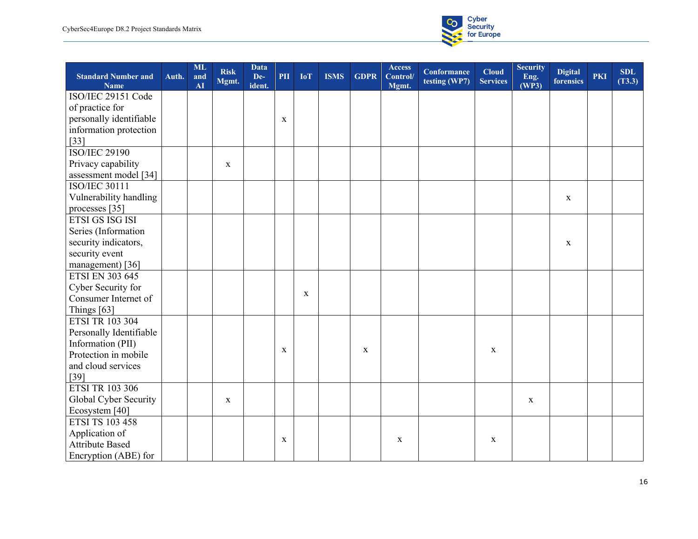

| <b>Standard Number and</b><br><b>Name</b> | Auth. | <b>ML</b><br>and<br>AI | <b>Risk</b><br>Mgmt. | Data<br>De-<br>ident. | PII         | <b>IoT</b>  | <b>ISMS</b> | <b>GDPR</b> | <b>Access</b><br>Control/<br>Mgmt. | <b>Conformance</b><br>testing (WP7) | <b>Cloud</b><br><b>Services</b> | <b>Security</b><br>Eng.<br>(WP3) | <b>Digital</b><br>forensics | <b>PKI</b> | <b>SDL</b><br>(T3.3) |
|-------------------------------------------|-------|------------------------|----------------------|-----------------------|-------------|-------------|-------------|-------------|------------------------------------|-------------------------------------|---------------------------------|----------------------------------|-----------------------------|------------|----------------------|
| ISO/IEC 29151 Code                        |       |                        |                      |                       |             |             |             |             |                                    |                                     |                                 |                                  |                             |            |                      |
| of practice for                           |       |                        |                      |                       |             |             |             |             |                                    |                                     |                                 |                                  |                             |            |                      |
| personally identifiable                   |       |                        |                      |                       | X           |             |             |             |                                    |                                     |                                 |                                  |                             |            |                      |
| information protection                    |       |                        |                      |                       |             |             |             |             |                                    |                                     |                                 |                                  |                             |            |                      |
| $[33]$                                    |       |                        |                      |                       |             |             |             |             |                                    |                                     |                                 |                                  |                             |            |                      |
| <b>ISO/IEC 29190</b>                      |       |                        |                      |                       |             |             |             |             |                                    |                                     |                                 |                                  |                             |            |                      |
| Privacy capability                        |       |                        | $\mathbf X$          |                       |             |             |             |             |                                    |                                     |                                 |                                  |                             |            |                      |
| assessment model [34]                     |       |                        |                      |                       |             |             |             |             |                                    |                                     |                                 |                                  |                             |            |                      |
| <b>ISO/IEC 30111</b>                      |       |                        |                      |                       |             |             |             |             |                                    |                                     |                                 |                                  |                             |            |                      |
| Vulnerability handling                    |       |                        |                      |                       |             |             |             |             |                                    |                                     |                                 |                                  | $\mathbf{X}$                |            |                      |
| processes [35]                            |       |                        |                      |                       |             |             |             |             |                                    |                                     |                                 |                                  |                             |            |                      |
| ETSI GS ISG ISI                           |       |                        |                      |                       |             |             |             |             |                                    |                                     |                                 |                                  |                             |            |                      |
| Series (Information                       |       |                        |                      |                       |             |             |             |             |                                    |                                     |                                 |                                  |                             |            |                      |
| security indicators,                      |       |                        |                      |                       |             |             |             |             |                                    |                                     |                                 |                                  | $\mathbf X$                 |            |                      |
| security event                            |       |                        |                      |                       |             |             |             |             |                                    |                                     |                                 |                                  |                             |            |                      |
| management) [36]                          |       |                        |                      |                       |             |             |             |             |                                    |                                     |                                 |                                  |                             |            |                      |
| <b>ETSI EN 303 645</b>                    |       |                        |                      |                       |             |             |             |             |                                    |                                     |                                 |                                  |                             |            |                      |
| Cyber Security for                        |       |                        |                      |                       |             |             |             |             |                                    |                                     |                                 |                                  |                             |            |                      |
| Consumer Internet of                      |       |                        |                      |                       |             | $\mathbf X$ |             |             |                                    |                                     |                                 |                                  |                             |            |                      |
| Things [63]                               |       |                        |                      |                       |             |             |             |             |                                    |                                     |                                 |                                  |                             |            |                      |
| <b>ETSI TR 103 304</b>                    |       |                        |                      |                       |             |             |             |             |                                    |                                     |                                 |                                  |                             |            |                      |
| Personally Identifiable                   |       |                        |                      |                       |             |             |             |             |                                    |                                     |                                 |                                  |                             |            |                      |
| Information (PII)                         |       |                        |                      |                       |             |             |             |             |                                    |                                     |                                 |                                  |                             |            |                      |
| Protection in mobile                      |       |                        |                      |                       | $\mathbf X$ |             |             | $\mathbf X$ |                                    |                                     | $\mathbf X$                     |                                  |                             |            |                      |
| and cloud services                        |       |                        |                      |                       |             |             |             |             |                                    |                                     |                                 |                                  |                             |            |                      |
| $[39]$                                    |       |                        |                      |                       |             |             |             |             |                                    |                                     |                                 |                                  |                             |            |                      |
| <b>ETSI TR 103 306</b>                    |       |                        |                      |                       |             |             |             |             |                                    |                                     |                                 |                                  |                             |            |                      |
| Global Cyber Security                     |       |                        | $\mathbf X$          |                       |             |             |             |             |                                    |                                     |                                 | X                                |                             |            |                      |
| Ecosystem [40]                            |       |                        |                      |                       |             |             |             |             |                                    |                                     |                                 |                                  |                             |            |                      |
| <b>ETSI TS 103 458</b>                    |       |                        |                      |                       |             |             |             |             |                                    |                                     |                                 |                                  |                             |            |                      |
| Application of                            |       |                        |                      |                       |             |             |             |             |                                    |                                     |                                 |                                  |                             |            |                      |
| <b>Attribute Based</b>                    |       |                        |                      |                       | X           |             |             |             | $\mathbf X$                        |                                     | $\mathbf x$                     |                                  |                             |            |                      |
| Encryption (ABE) for                      |       |                        |                      |                       |             |             |             |             |                                    |                                     |                                 |                                  |                             |            |                      |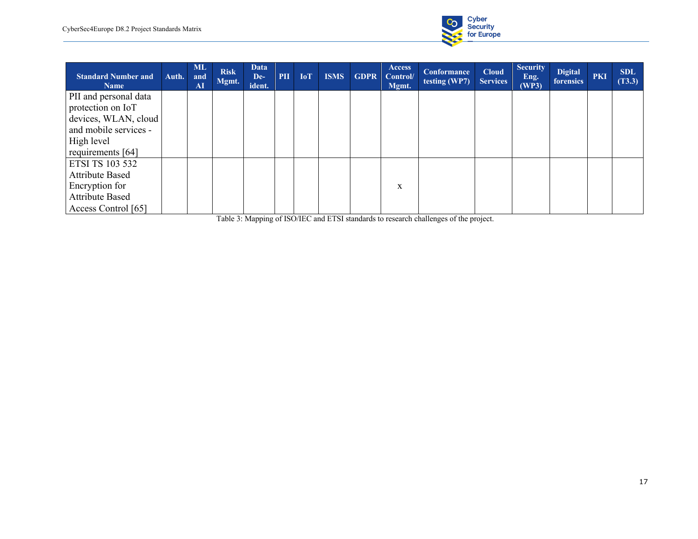

| <b>Standard Number and</b><br><b>Name</b> | Auth. | <b>ML</b><br>and<br>${\bf AI}$ | <b>Risk</b><br>Mgmt. | <b>Data</b><br>De-<br>ident. | PII | <b>IoT</b> | <b>ISMS</b> | <b>GDPR</b> | Access<br>Control/<br>Mgmt. | Conformance<br>testing (WP7) | <b>Cloud</b><br><b>Services</b> | <b>Security</b><br>Eng.<br>(WP3) | <b>Digital</b><br>forensics | <b>PKI</b> | <b>SDL</b><br>(T3.3) |
|-------------------------------------------|-------|--------------------------------|----------------------|------------------------------|-----|------------|-------------|-------------|-----------------------------|------------------------------|---------------------------------|----------------------------------|-----------------------------|------------|----------------------|
| PII and personal data                     |       |                                |                      |                              |     |            |             |             |                             |                              |                                 |                                  |                             |            |                      |
| protection on IoT                         |       |                                |                      |                              |     |            |             |             |                             |                              |                                 |                                  |                             |            |                      |
| devices, WLAN, cloud                      |       |                                |                      |                              |     |            |             |             |                             |                              |                                 |                                  |                             |            |                      |
| and mobile services -                     |       |                                |                      |                              |     |            |             |             |                             |                              |                                 |                                  |                             |            |                      |
| High level                                |       |                                |                      |                              |     |            |             |             |                             |                              |                                 |                                  |                             |            |                      |
| requirements [64]                         |       |                                |                      |                              |     |            |             |             |                             |                              |                                 |                                  |                             |            |                      |
| ETSI TS 103 532                           |       |                                |                      |                              |     |            |             |             |                             |                              |                                 |                                  |                             |            |                      |
| <b>Attribute Based</b>                    |       |                                |                      |                              |     |            |             |             |                             |                              |                                 |                                  |                             |            |                      |
| Encryption for                            |       |                                |                      |                              |     |            |             |             | X                           |                              |                                 |                                  |                             |            |                      |
| <b>Attribute Based</b>                    |       |                                |                      |                              |     |            |             |             |                             |                              |                                 |                                  |                             |            |                      |
| Access Control [65]                       |       |                                |                      |                              |     |            |             |             |                             |                              |                                 |                                  |                             |            |                      |

Table 3: Mapping of ISO/IEC and ETSI standards to research challenges of the project.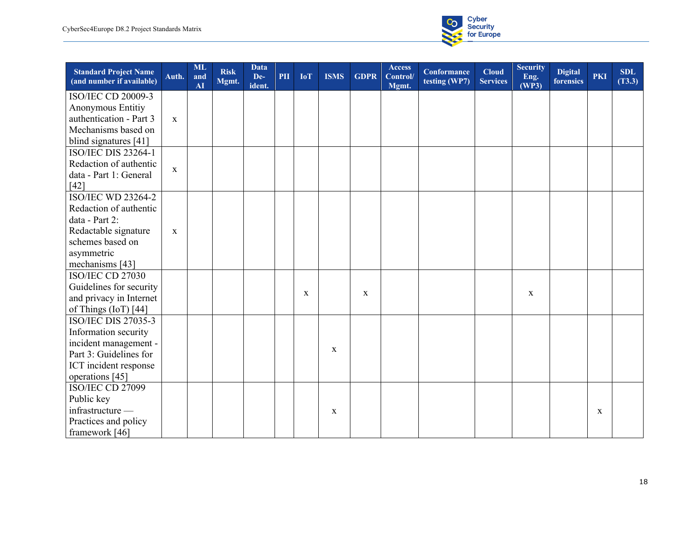

| <b>Standard Project Name</b><br>(and number if available) | Auth.        | <b>ML</b><br>and<br>AI | <b>Risk</b><br>Mgmt. | <b>Data</b><br>De-<br>ident. | PII | <b>IoT</b>  | <b>ISMS</b> | <b>GDPR</b> | <b>Access</b><br>Control/<br>Mgmt. | <b>Conformance</b><br>testing (WP7) | <b>Cloud</b><br><b>Services</b> | <b>Security</b><br>Eng.<br>(WP3) | <b>Digital</b><br>forensics | <b>PKI</b> | <b>SDL</b><br>(T3.3) |
|-----------------------------------------------------------|--------------|------------------------|----------------------|------------------------------|-----|-------------|-------------|-------------|------------------------------------|-------------------------------------|---------------------------------|----------------------------------|-----------------------------|------------|----------------------|
| <b>ISO/IEC CD 20009-3</b>                                 |              |                        |                      |                              |     |             |             |             |                                    |                                     |                                 |                                  |                             |            |                      |
| Anonymous Entitiy                                         |              |                        |                      |                              |     |             |             |             |                                    |                                     |                                 |                                  |                             |            |                      |
| authentication - Part 3                                   | $\mathbf{x}$ |                        |                      |                              |     |             |             |             |                                    |                                     |                                 |                                  |                             |            |                      |
| Mechanisms based on                                       |              |                        |                      |                              |     |             |             |             |                                    |                                     |                                 |                                  |                             |            |                      |
| blind signatures [41]                                     |              |                        |                      |                              |     |             |             |             |                                    |                                     |                                 |                                  |                             |            |                      |
| <b>ISO/IEC DIS 23264-1</b>                                |              |                        |                      |                              |     |             |             |             |                                    |                                     |                                 |                                  |                             |            |                      |
| Redaction of authentic                                    |              |                        |                      |                              |     |             |             |             |                                    |                                     |                                 |                                  |                             |            |                      |
| data - Part 1: General                                    | $\mathbf X$  |                        |                      |                              |     |             |             |             |                                    |                                     |                                 |                                  |                             |            |                      |
| [42]                                                      |              |                        |                      |                              |     |             |             |             |                                    |                                     |                                 |                                  |                             |            |                      |
| <b>ISO/IEC WD 23264-2</b>                                 |              |                        |                      |                              |     |             |             |             |                                    |                                     |                                 |                                  |                             |            |                      |
| Redaction of authentic                                    |              |                        |                      |                              |     |             |             |             |                                    |                                     |                                 |                                  |                             |            |                      |
| data - Part 2:                                            |              |                        |                      |                              |     |             |             |             |                                    |                                     |                                 |                                  |                             |            |                      |
| Redactable signature                                      | $\mathbf{X}$ |                        |                      |                              |     |             |             |             |                                    |                                     |                                 |                                  |                             |            |                      |
| schemes based on                                          |              |                        |                      |                              |     |             |             |             |                                    |                                     |                                 |                                  |                             |            |                      |
| asymmetric                                                |              |                        |                      |                              |     |             |             |             |                                    |                                     |                                 |                                  |                             |            |                      |
| mechanisms [43]                                           |              |                        |                      |                              |     |             |             |             |                                    |                                     |                                 |                                  |                             |            |                      |
| ISO/IEC CD 27030                                          |              |                        |                      |                              |     |             |             |             |                                    |                                     |                                 |                                  |                             |            |                      |
| Guidelines for security                                   |              |                        |                      |                              |     |             |             |             |                                    |                                     |                                 |                                  |                             |            |                      |
| and privacy in Internet                                   |              |                        |                      |                              |     | $\mathbf X$ |             | $\mathbf X$ |                                    |                                     |                                 | X                                |                             |            |                      |
| of Things (IoT) [44]                                      |              |                        |                      |                              |     |             |             |             |                                    |                                     |                                 |                                  |                             |            |                      |
| <b>ISO/IEC DIS 27035-3</b>                                |              |                        |                      |                              |     |             |             |             |                                    |                                     |                                 |                                  |                             |            |                      |
| Information security                                      |              |                        |                      |                              |     |             |             |             |                                    |                                     |                                 |                                  |                             |            |                      |
| incident management -                                     |              |                        |                      |                              |     |             |             |             |                                    |                                     |                                 |                                  |                             |            |                      |
| Part 3: Guidelines for                                    |              |                        |                      |                              |     |             | X           |             |                                    |                                     |                                 |                                  |                             |            |                      |
| ICT incident response                                     |              |                        |                      |                              |     |             |             |             |                                    |                                     |                                 |                                  |                             |            |                      |
| operations [45]                                           |              |                        |                      |                              |     |             |             |             |                                    |                                     |                                 |                                  |                             |            |                      |
| ISO/IEC CD 27099                                          |              |                        |                      |                              |     |             |             |             |                                    |                                     |                                 |                                  |                             |            |                      |
| Public key                                                |              |                        |                      |                              |     |             |             |             |                                    |                                     |                                 |                                  |                             |            |                      |
| infrastructure -                                          |              |                        |                      |                              |     |             | X           |             |                                    |                                     |                                 |                                  |                             | X          |                      |
| Practices and policy                                      |              |                        |                      |                              |     |             |             |             |                                    |                                     |                                 |                                  |                             |            |                      |
| framework [46]                                            |              |                        |                      |                              |     |             |             |             |                                    |                                     |                                 |                                  |                             |            |                      |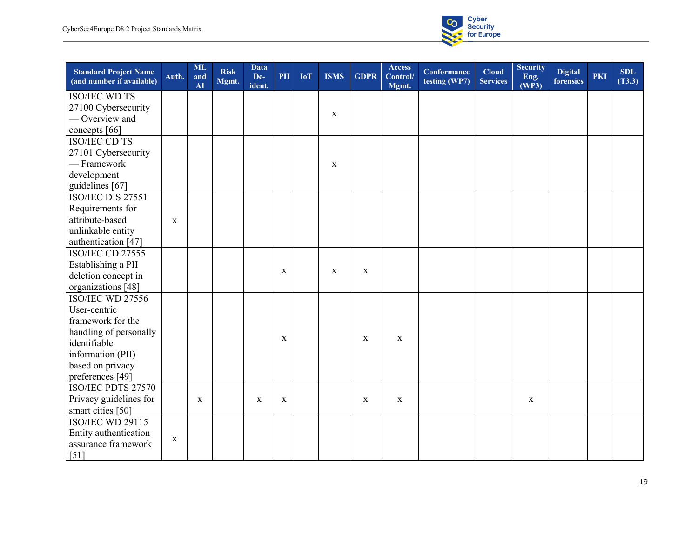

| <b>Standard Project Name</b><br>(and number if available) | Auth.       | <b>ML</b><br>and<br>AI | <b>Risk</b><br>Mgmt. | <b>Data</b><br>De-<br>ident. | PII         | <b>IoT</b> | <b>ISMS</b> | <b>GDPR</b> | <b>Access</b><br>Control/<br>Mgmt. | <b>Conformance</b><br>testing (WP7) | <b>Cloud</b><br><b>Services</b> | <b>Security</b><br>Eng.<br>(WP3) | <b>Digital</b><br>forensics | <b>PKI</b> | <b>SDL</b><br>(T3.3) |
|-----------------------------------------------------------|-------------|------------------------|----------------------|------------------------------|-------------|------------|-------------|-------------|------------------------------------|-------------------------------------|---------------------------------|----------------------------------|-----------------------------|------------|----------------------|
| <b>ISO/IEC WD TS</b>                                      |             |                        |                      |                              |             |            |             |             |                                    |                                     |                                 |                                  |                             |            |                      |
| 27100 Cybersecurity                                       |             |                        |                      |                              |             |            |             |             |                                    |                                     |                                 |                                  |                             |            |                      |
| - Overview and                                            |             |                        |                      |                              |             |            | $\mathbf X$ |             |                                    |                                     |                                 |                                  |                             |            |                      |
| concepts [66]                                             |             |                        |                      |                              |             |            |             |             |                                    |                                     |                                 |                                  |                             |            |                      |
| <b>ISO/IEC CD TS</b>                                      |             |                        |                      |                              |             |            |             |             |                                    |                                     |                                 |                                  |                             |            |                      |
| 27101 Cybersecurity                                       |             |                        |                      |                              |             |            |             |             |                                    |                                     |                                 |                                  |                             |            |                      |
| - Framework                                               |             |                        |                      |                              |             |            | $\mathbf X$ |             |                                    |                                     |                                 |                                  |                             |            |                      |
| development                                               |             |                        |                      |                              |             |            |             |             |                                    |                                     |                                 |                                  |                             |            |                      |
| guidelines [67]                                           |             |                        |                      |                              |             |            |             |             |                                    |                                     |                                 |                                  |                             |            |                      |
| ISO/IEC DIS 27551                                         |             |                        |                      |                              |             |            |             |             |                                    |                                     |                                 |                                  |                             |            |                      |
| Requirements for                                          |             |                        |                      |                              |             |            |             |             |                                    |                                     |                                 |                                  |                             |            |                      |
| attribute-based                                           | $\mathbf x$ |                        |                      |                              |             |            |             |             |                                    |                                     |                                 |                                  |                             |            |                      |
| unlinkable entity                                         |             |                        |                      |                              |             |            |             |             |                                    |                                     |                                 |                                  |                             |            |                      |
| authentication [47]                                       |             |                        |                      |                              |             |            |             |             |                                    |                                     |                                 |                                  |                             |            |                      |
| ISO/IEC CD 27555                                          |             |                        |                      |                              |             |            |             |             |                                    |                                     |                                 |                                  |                             |            |                      |
| Establishing a PII                                        |             |                        |                      |                              |             |            |             |             |                                    |                                     |                                 |                                  |                             |            |                      |
| deletion concept in                                       |             |                        |                      |                              | $\mathbf X$ |            | $\mathbf X$ | $\mathbf X$ |                                    |                                     |                                 |                                  |                             |            |                      |
| organizations [48]                                        |             |                        |                      |                              |             |            |             |             |                                    |                                     |                                 |                                  |                             |            |                      |
| <b>ISO/IEC WD 27556</b>                                   |             |                        |                      |                              |             |            |             |             |                                    |                                     |                                 |                                  |                             |            |                      |
| User-centric                                              |             |                        |                      |                              |             |            |             |             |                                    |                                     |                                 |                                  |                             |            |                      |
| framework for the                                         |             |                        |                      |                              |             |            |             |             |                                    |                                     |                                 |                                  |                             |            |                      |
| handling of personally                                    |             |                        |                      |                              |             |            |             |             |                                    |                                     |                                 |                                  |                             |            |                      |
| identifiable                                              |             |                        |                      |                              | $\mathbf X$ |            |             | X           | $\mathbf X$                        |                                     |                                 |                                  |                             |            |                      |
| information (PII)                                         |             |                        |                      |                              |             |            |             |             |                                    |                                     |                                 |                                  |                             |            |                      |
| based on privacy                                          |             |                        |                      |                              |             |            |             |             |                                    |                                     |                                 |                                  |                             |            |                      |
| preferences [49]                                          |             |                        |                      |                              |             |            |             |             |                                    |                                     |                                 |                                  |                             |            |                      |
| ISO/IEC PDTS 27570                                        |             |                        |                      |                              |             |            |             |             |                                    |                                     |                                 |                                  |                             |            |                      |
| Privacy guidelines for                                    |             | $\mathbf X$            |                      | $\mathbf X$                  | $\mathbf X$ |            |             | $\mathbf X$ | $\mathbf X$                        |                                     |                                 | X                                |                             |            |                      |
| smart cities [50]                                         |             |                        |                      |                              |             |            |             |             |                                    |                                     |                                 |                                  |                             |            |                      |
| ISO/IEC WD 29115                                          |             |                        |                      |                              |             |            |             |             |                                    |                                     |                                 |                                  |                             |            |                      |
| Entity authentication                                     |             |                        |                      |                              |             |            |             |             |                                    |                                     |                                 |                                  |                             |            |                      |
| assurance framework                                       | X           |                        |                      |                              |             |            |             |             |                                    |                                     |                                 |                                  |                             |            |                      |
| [51]                                                      |             |                        |                      |                              |             |            |             |             |                                    |                                     |                                 |                                  |                             |            |                      |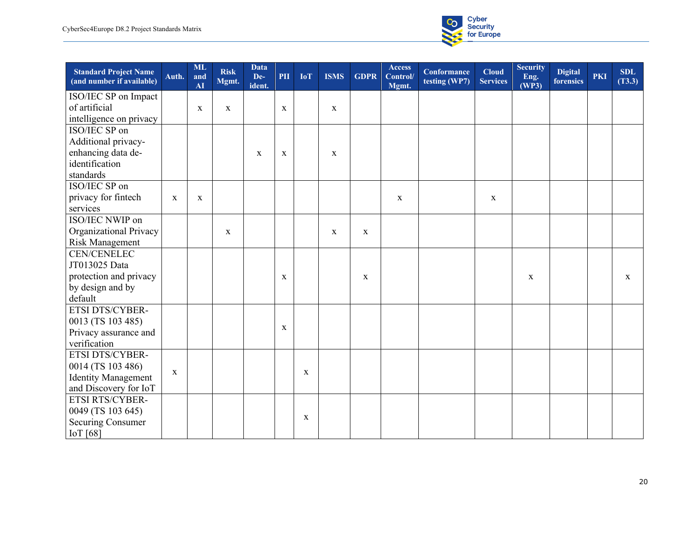

| <b>Standard Project Name</b><br>(and number if available) | Auth.       | <b>ML</b><br>and<br>AI | <b>Risk</b><br>Mgmt. | <b>Data</b><br>De-<br>ident. | PII         | <b>IoT</b>  | <b>ISMS</b> | <b>GDPR</b> | <b>Access</b><br>Control/<br>Mgmt. | <b>Conformance</b><br>testing (WP7) | <b>Cloud</b><br><b>Services</b> | <b>Security</b><br>Eng.<br>(WP3) | <b>Digital</b><br>forensics | <b>PKI</b> | <b>SDL</b><br>(T3.3) |
|-----------------------------------------------------------|-------------|------------------------|----------------------|------------------------------|-------------|-------------|-------------|-------------|------------------------------------|-------------------------------------|---------------------------------|----------------------------------|-----------------------------|------------|----------------------|
| ISO/IEC SP on Impact                                      |             |                        |                      |                              |             |             |             |             |                                    |                                     |                                 |                                  |                             |            |                      |
| of artificial                                             |             | $\mathbf X$            | $\mathbf X$          |                              | $\mathbf X$ |             | X           |             |                                    |                                     |                                 |                                  |                             |            |                      |
| intelligence on privacy                                   |             |                        |                      |                              |             |             |             |             |                                    |                                     |                                 |                                  |                             |            |                      |
| ISO/IEC SP on                                             |             |                        |                      |                              |             |             |             |             |                                    |                                     |                                 |                                  |                             |            |                      |
| Additional privacy-                                       |             |                        |                      |                              |             |             |             |             |                                    |                                     |                                 |                                  |                             |            |                      |
| enhancing data de-                                        |             |                        |                      | $\mathbf X$                  | $\mathbf X$ |             | $\mathbf X$ |             |                                    |                                     |                                 |                                  |                             |            |                      |
| identification                                            |             |                        |                      |                              |             |             |             |             |                                    |                                     |                                 |                                  |                             |            |                      |
| standards                                                 |             |                        |                      |                              |             |             |             |             |                                    |                                     |                                 |                                  |                             |            |                      |
| ISO/IEC SP on                                             |             |                        |                      |                              |             |             |             |             |                                    |                                     |                                 |                                  |                             |            |                      |
| privacy for fintech                                       | $\mathbf X$ | $\mathbf X$            |                      |                              |             |             |             |             | $\mathbf X$                        |                                     | $\mathbf X$                     |                                  |                             |            |                      |
| services                                                  |             |                        |                      |                              |             |             |             |             |                                    |                                     |                                 |                                  |                             |            |                      |
| ISO/IEC NWIP on                                           |             |                        |                      |                              |             |             |             |             |                                    |                                     |                                 |                                  |                             |            |                      |
| Organizational Privacy                                    |             |                        | $\mathbf X$          |                              |             |             | X           | X           |                                    |                                     |                                 |                                  |                             |            |                      |
| <b>Risk Management</b>                                    |             |                        |                      |                              |             |             |             |             |                                    |                                     |                                 |                                  |                             |            |                      |
| <b>CEN/CENELEC</b>                                        |             |                        |                      |                              |             |             |             |             |                                    |                                     |                                 |                                  |                             |            |                      |
| JT013025 Data                                             |             |                        |                      |                              |             |             |             |             |                                    |                                     |                                 |                                  |                             |            |                      |
| protection and privacy                                    |             |                        |                      |                              | $\mathbf X$ |             |             | $\mathbf X$ |                                    |                                     |                                 | $\mathbf{X}$                     |                             |            | $\mathbf{x}$         |
| by design and by                                          |             |                        |                      |                              |             |             |             |             |                                    |                                     |                                 |                                  |                             |            |                      |
| default                                                   |             |                        |                      |                              |             |             |             |             |                                    |                                     |                                 |                                  |                             |            |                      |
| ETSI DTS/CYBER-                                           |             |                        |                      |                              |             |             |             |             |                                    |                                     |                                 |                                  |                             |            |                      |
| 0013 (TS 103 485)                                         |             |                        |                      |                              | X           |             |             |             |                                    |                                     |                                 |                                  |                             |            |                      |
| Privacy assurance and                                     |             |                        |                      |                              |             |             |             |             |                                    |                                     |                                 |                                  |                             |            |                      |
| verification                                              |             |                        |                      |                              |             |             |             |             |                                    |                                     |                                 |                                  |                             |            |                      |
| ETSI DTS/CYBER-                                           |             |                        |                      |                              |             |             |             |             |                                    |                                     |                                 |                                  |                             |            |                      |
| 0014 (TS 103 486)                                         | $\mathbf X$ |                        |                      |                              |             | $\mathbf X$ |             |             |                                    |                                     |                                 |                                  |                             |            |                      |
| <b>Identity Management</b>                                |             |                        |                      |                              |             |             |             |             |                                    |                                     |                                 |                                  |                             |            |                      |
| and Discovery for IoT                                     |             |                        |                      |                              |             |             |             |             |                                    |                                     |                                 |                                  |                             |            |                      |
| ETSI RTS/CYBER-                                           |             |                        |                      |                              |             |             |             |             |                                    |                                     |                                 |                                  |                             |            |                      |
| 0049 (TS 103 645)                                         |             |                        |                      |                              |             | $\mathbf X$ |             |             |                                    |                                     |                                 |                                  |                             |            |                      |
| Securing Consumer                                         |             |                        |                      |                              |             |             |             |             |                                    |                                     |                                 |                                  |                             |            |                      |
| IoT [68]                                                  |             |                        |                      |                              |             |             |             |             |                                    |                                     |                                 |                                  |                             |            |                      |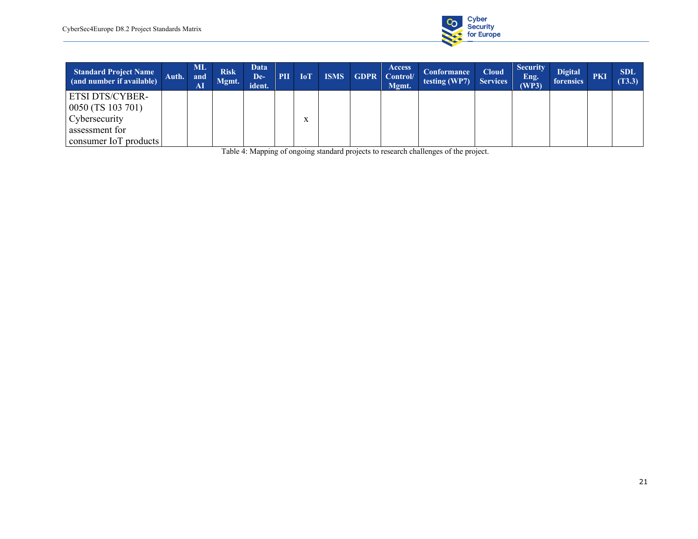

| <b>Standard Project Name</b><br>(and number if available) | Auth. | ML -<br>and<br>AI | <b>Risk</b><br>Mgmt. | <b>Data</b><br>De-<br>ident. | PII | <b>IoT</b> | <b>ISMS</b> | <b>GDPR</b> | <b>Access</b><br>Control/<br>Mgmt. | Conformance<br>testing (WP7) $\vert$ Services | <b>Cloud</b> | <b>Security</b><br>Eng.<br>(WP3) | <b>Digital</b><br><b>forensics</b> | <b>PKI</b> | <b>SDL</b><br>(T3.3) |
|-----------------------------------------------------------|-------|-------------------|----------------------|------------------------------|-----|------------|-------------|-------------|------------------------------------|-----------------------------------------------|--------------|----------------------------------|------------------------------------|------------|----------------------|
| ETSI DTS/CYBER-                                           |       |                   |                      |                              |     |            |             |             |                                    |                                               |              |                                  |                                    |            |                      |
| 0050 (TS 103 701)                                         |       |                   |                      |                              |     |            |             |             |                                    |                                               |              |                                  |                                    |            |                      |
| Cybersecurity                                             |       |                   |                      |                              |     |            |             |             |                                    |                                               |              |                                  |                                    |            |                      |
| assessment for                                            |       |                   |                      |                              |     |            |             |             |                                    |                                               |              |                                  |                                    |            |                      |
| consumer IoT products                                     |       |                   |                      |                              |     |            |             |             |                                    |                                               |              |                                  |                                    |            |                      |

Table 4: Mapping of ongoing standard projects to research challenges of the project.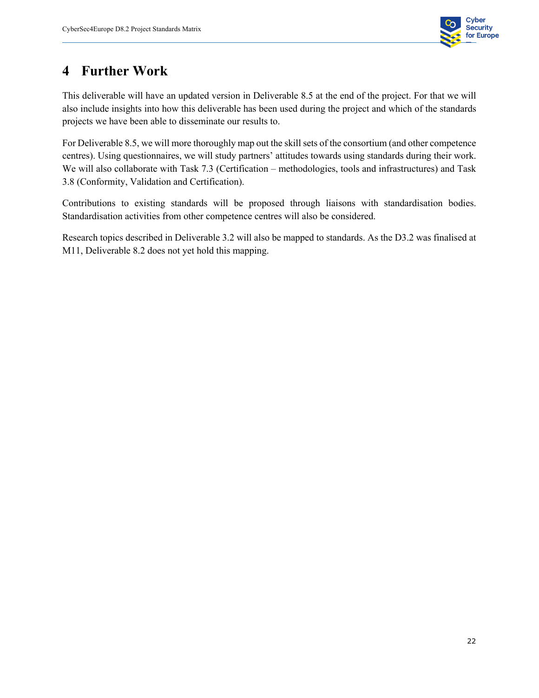

#### **4 Further Work**

This deliverable will have an updated version in Deliverable 8.5 at the end of the project. For that we will also include insights into how this deliverable has been used during the project and which of the standards projects we have been able to disseminate our results to.

For Deliverable 8.5, we will more thoroughly map out the skill sets of the consortium (and other competence centres). Using questionnaires, we will study partners' attitudes towards using standards during their work. We will also collaborate with Task 7.3 (Certification – methodologies, tools and infrastructures) and Task 3.8 (Conformity, Validation and Certification).

Contributions to existing standards will be proposed through liaisons with standardisation bodies. Standardisation activities from other competence centres will also be considered.

Research topics described in Deliverable 3.2 will also be mapped to standards. As the D3.2 was finalised at M11, Deliverable 8.2 does not yet hold this mapping.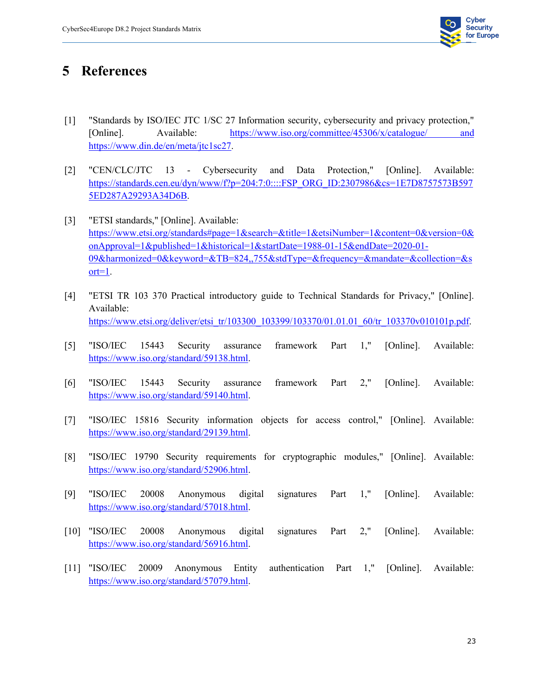

#### **5 References**

- [1] "Standards by ISO/IEC JTC 1/SC 27 Information security, cybersecurity and privacy protection," [Online]. Available: https://www.iso.org/committee/45306/x/catalogue/ and https://www.din.de/en/meta/jtc1sc27.
- [2] "CEN/CLC/JTC 13 Cybersecurity and Data Protection," [Online]. Available: https://standards.cen.eu/dyn/www/f?p=204:7:0::::FSP\_ORG\_ID:2307986&cs=1E7D8757573B597 5ED287A29293A34D6B.
- [3] "ETSI standards," [Online]. Available: https://www.etsi.org/standards#page=1&search=&title=1&etsiNumber=1&content=0&version=0& onApproval=1&published=1&historical=1&startDate=1988-01-15&endDate=2020-01- 09&harmonized=0&keyword=&TB=824,,755&stdType=&frequency=&mandate=&collection=&s ort=1.
- [4] "ETSI TR 103 370 Practical introductory guide to Technical Standards for Privacy," [Online]. Available: https://www.etsi.org/deliver/etsi\_tr/103300\_103399/103370/01.01.01\_60/tr\_103370v010101p.pdf.
- [5] "ISO/IEC 15443 Security assurance framework Part 1," [Online]. Available: https://www.iso.org/standard/59138.html.
- [6] "ISO/IEC 15443 Security assurance framework Part 2," [Online]. Available: https://www.iso.org/standard/59140.html.
- [7] "ISO/IEC 15816 Security information objects for access control," [Online]. Available: https://www.iso.org/standard/29139.html.
- [8] "ISO/IEC 19790 Security requirements for cryptographic modules," [Online]. Available: https://www.iso.org/standard/52906.html.
- [9] "ISO/IEC 20008 Anonymous digital signatures Part 1," [Online]. Available: https://www.iso.org/standard/57018.html.
- [10] "ISO/IEC 20008 Anonymous digital signatures Part 2," [Online]. Available: https://www.iso.org/standard/56916.html.
- [11] "ISO/IEC 20009 Anonymous Entity authentication Part 1," [Online]. Available: https://www.iso.org/standard/57079.html.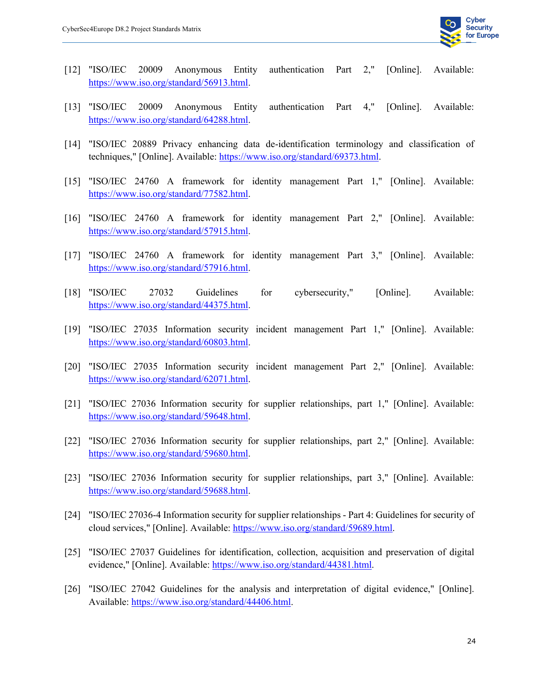

- [12] "ISO/IEC 20009 Anonymous Entity authentication Part 2," [Online]. Available: https://www.iso.org/standard/56913.html.
- [13] "ISO/IEC 20009 Anonymous Entity authentication Part 4," [Online]. Available: https://www.iso.org/standard/64288.html.
- [14] "ISO/IEC 20889 Privacy enhancing data de-identification terminology and classification of techniques," [Online]. Available: https://www.iso.org/standard/69373.html.
- [15] "ISO/IEC 24760 A framework for identity management Part 1," [Online]. Available: https://www.iso.org/standard/77582.html.
- [16] "ISO/IEC 24760 A framework for identity management Part 2," [Online]. Available: https://www.iso.org/standard/57915.html.
- [17] "ISO/IEC 24760 A framework for identity management Part 3," [Online]. Available: https://www.iso.org/standard/57916.html.
- [18] "ISO/IEC 27032 Guidelines for cybersecurity," [Online]. Available: https://www.iso.org/standard/44375.html.
- [19] "ISO/IEC 27035 Information security incident management Part 1," [Online]. Available: https://www.iso.org/standard/60803.html.
- [20] "ISO/IEC 27035 Information security incident management Part 2," [Online]. Available: https://www.iso.org/standard/62071.html.
- [21] "ISO/IEC 27036 Information security for supplier relationships, part 1," [Online]. Available: https://www.iso.org/standard/59648.html.
- [22] "ISO/IEC 27036 Information security for supplier relationships, part 2," [Online]. Available: https://www.iso.org/standard/59680.html.
- [23] "ISO/IEC 27036 Information security for supplier relationships, part 3," [Online]. Available: https://www.iso.org/standard/59688.html.
- [24] "ISO/IEC 27036-4 Information security for supplier relationships Part 4: Guidelines for security of cloud services," [Online]. Available: https://www.iso.org/standard/59689.html.
- [25] "ISO/IEC 27037 Guidelines for identification, collection, acquisition and preservation of digital evidence," [Online]. Available: https://www.iso.org/standard/44381.html.
- [26] "ISO/IEC 27042 Guidelines for the analysis and interpretation of digital evidence," [Online]. Available: https://www.iso.org/standard/44406.html.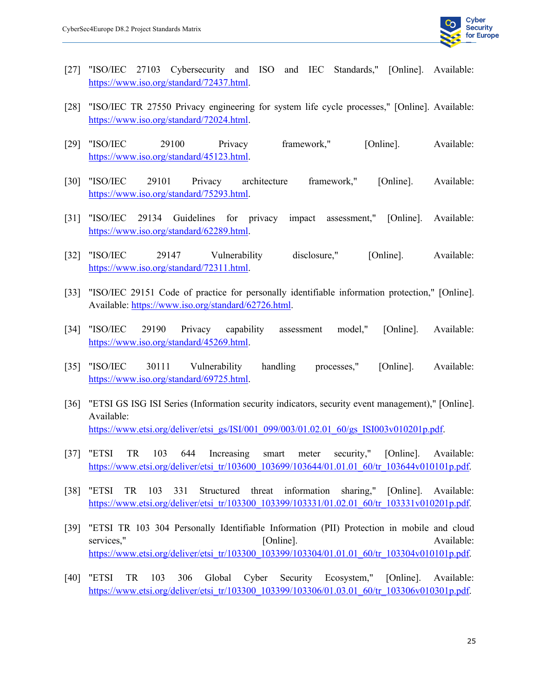

- [27] "ISO/IEC 27103 Cybersecurity and ISO and IEC Standards," [Online]. Available: https://www.iso.org/standard/72437.html.
- [28] "ISO/IEC TR 27550 Privacy engineering for system life cycle processes," [Online]. Available: https://www.iso.org/standard/72024.html.
- [29] "ISO/IEC 29100 Privacy framework," [Online]. Available: https://www.iso.org/standard/45123.html.
- [30] "ISO/IEC 29101 Privacy architecture framework," [Online]. Available: https://www.iso.org/standard/75293.html.
- [31] "ISO/IEC 29134 Guidelines for privacy impact assessment," [Online]. Available: https://www.iso.org/standard/62289.html.
- [32] "ISO/IEC 29147 Vulnerability disclosure," [Online]. Available: https://www.iso.org/standard/72311.html.
- [33] "ISO/IEC 29151 Code of practice for personally identifiable information protection," [Online]. Available: https://www.iso.org/standard/62726.html.
- [34] "ISO/IEC 29190 Privacy capability assessment model," [Online]. Available: https://www.iso.org/standard/45269.html.
- [35] "ISO/IEC 30111 Vulnerability handling processes," [Online]. Available: https://www.iso.org/standard/69725.html.
- [36] "ETSI GS ISG ISI Series (Information security indicators, security event management)," [Online]. Available: https://www.etsi.org/deliver/etsi\_gs/ISI/001\_099/003/01.02.01\_60/gs\_ISI003v010201p.pdf.
- [37] "ETSI TR 103 644 Increasing smart meter security," [Online]. Available: https://www.etsi.org/deliver/etsi\_tr/103600\_103699/103644/01.01.01\_60/tr\_103644v010101p.pdf.
- [38] "ETSI TR 103 331 Structured threat information sharing," [Online]. Available: https://www.etsi.org/deliver/etsi\_tr/103300\_103399/103331/01.02.01\_60/tr\_103331v010201p.pdf.
- [39] "ETSI TR 103 304 Personally Identifiable Information (PII) Protection in mobile and cloud services," [Online]. [Online]. Available: https://www.etsi.org/deliver/etsi\_tr/103300\_103399/103304/01.01.01\_60/tr\_103304v010101p.pdf.
- [40] "ETSI TR 103 306 Global Cyber Security Ecosystem," [Online]. Available: https://www.etsi.org/deliver/etsi\_tr/103300\_103399/103306/01.03.01\_60/tr\_103306v010301p.pdf.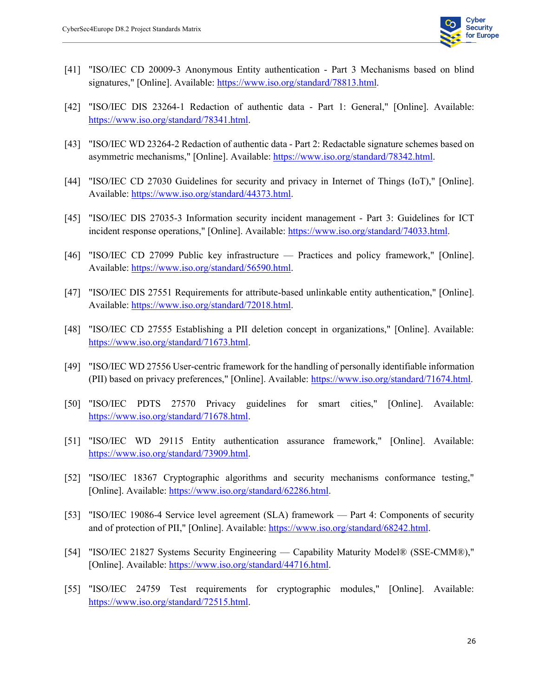

- [41] "ISO/IEC CD 20009-3 Anonymous Entity authentication Part 3 Mechanisms based on blind signatures," [Online]. Available: https://www.iso.org/standard/78813.html.
- [42] "ISO/IEC DIS 23264-1 Redaction of authentic data Part 1: General," [Online]. Available: https://www.iso.org/standard/78341.html.
- [43] "ISO/IEC WD 23264-2 Redaction of authentic data Part 2: Redactable signature schemes based on asymmetric mechanisms," [Online]. Available: https://www.iso.org/standard/78342.html.
- [44] "ISO/IEC CD 27030 Guidelines for security and privacy in Internet of Things (IoT)," [Online]. Available: https://www.iso.org/standard/44373.html.
- [45] "ISO/IEC DIS 27035-3 Information security incident management Part 3: Guidelines for ICT incident response operations," [Online]. Available: https://www.iso.org/standard/74033.html.
- [46] "ISO/IEC CD 27099 Public key infrastructure Practices and policy framework," [Online]. Available: https://www.iso.org/standard/56590.html.
- [47] "ISO/IEC DIS 27551 Requirements for attribute-based unlinkable entity authentication," [Online]. Available: https://www.iso.org/standard/72018.html.
- [48] "ISO/IEC CD 27555 Establishing a PII deletion concept in organizations," [Online]. Available: https://www.iso.org/standard/71673.html.
- [49] "ISO/IEC WD 27556 User-centric framework for the handling of personally identifiable information (PII) based on privacy preferences," [Online]. Available: https://www.iso.org/standard/71674.html.
- [50] "ISO/IEC PDTS 27570 Privacy guidelines for smart cities," [Online]. Available: https://www.iso.org/standard/71678.html.
- [51] "ISO/IEC WD 29115 Entity authentication assurance framework," [Online]. Available: https://www.iso.org/standard/73909.html.
- [52] "ISO/IEC 18367 Cryptographic algorithms and security mechanisms conformance testing," [Online]. Available: https://www.iso.org/standard/62286.html.
- [53] "ISO/IEC 19086-4 Service level agreement (SLA) framework Part 4: Components of security and of protection of PII," [Online]. Available: https://www.iso.org/standard/68242.html.
- [54] "ISO/IEC 21827 Systems Security Engineering Capability Maturity Model® (SSE-CMM®)," [Online]. Available: https://www.iso.org/standard/44716.html.
- [55] "ISO/IEC 24759 Test requirements for cryptographic modules," [Online]. Available: https://www.iso.org/standard/72515.html.